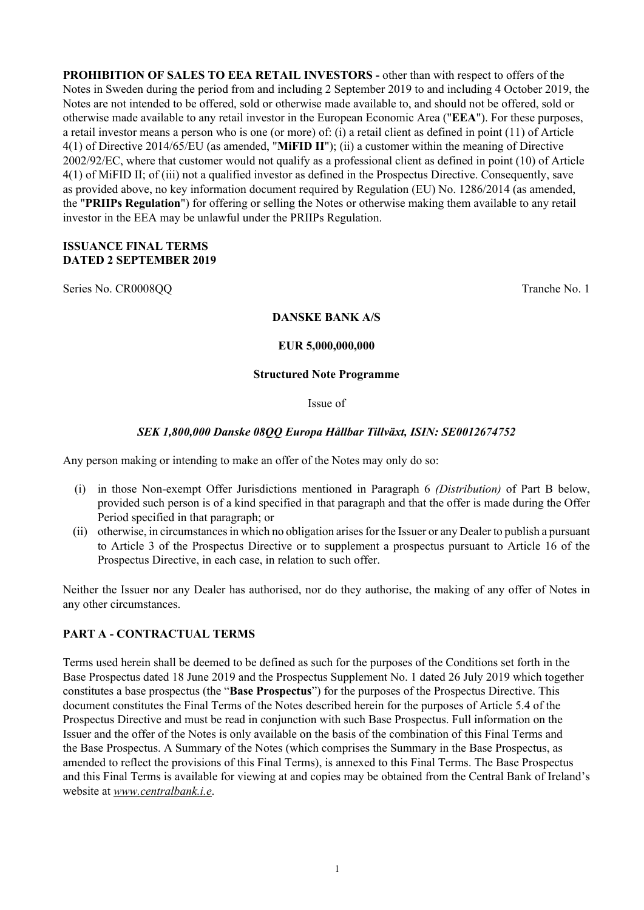**PROHIBITION OF SALES TO EEA RETAIL INVESTORS -** other than with respect to offers of the Notes in Sweden during the period from and including 2 September 2019 to and including 4 October 2019, the Notes are not intended to be offered, sold or otherwise made available to, and should not be offered, sold or otherwise made available to any retail investor in the European Economic Area ("**EEA**"). For these purposes, a retail investor means a person who is one (or more) of: (i) a retail client as defined in point (11) of Article 4(1) of Directive 2014/65/EU (as amended, "**MiFID II**"); (ii) a customer within the meaning of Directive 2002/92/EC, where that customer would not qualify as a professional client as defined in point (10) of Article 4(1) of MiFID II; of (iii) not a qualified investor as defined in the Prospectus Directive. Consequently, save as provided above, no key information document required by Regulation (EU) No. 1286/2014 (as amended, the "**PRIIPs Regulation**") for offering or selling the Notes or otherwise making them available to any retail investor in the EEA may be unlawful under the PRIIPs Regulation.

### **ISSUANCE FINAL TERMS DATED 2 SEPTEMBER 2019**

Series No. CR0008QQ Tranche No. 1

### **DANSKE BANK A/S**

### **EUR 5,000,000,000**

### **Structured Note Programme**

### Issue of

# *SEK 1,800,000 Danske 08QQ Europa Hållbar Tillväxt, ISIN: SE0012674752*

Any person making or intending to make an offer of the Notes may only do so:

- (i) in those Non-exempt Offer Jurisdictions mentioned in Paragraph 6 *(Distribution)* of Part B below, provided such person is of a kind specified in that paragraph and that the offer is made during the Offer Period specified in that paragraph; or
- (ii) otherwise, in circumstances in which no obligation arises for the Issuer or any Dealer to publish a pursuant to Article 3 of the Prospectus Directive or to supplement a prospectus pursuant to Article 16 of the Prospectus Directive, in each case, in relation to such offer.

Neither the Issuer nor any Dealer has authorised, nor do they authorise, the making of any offer of Notes in any other circumstances.

# **PART A - CONTRACTUAL TERMS**

Terms used herein shall be deemed to be defined as such for the purposes of the Conditions set forth in the Base Prospectus dated 18 June 2019 and the Prospectus Supplement No. 1 dated 26 July 2019 which together constitutes a base prospectus (the "**Base Prospectus**") for the purposes of the Prospectus Directive. This document constitutes the Final Terms of the Notes described herein for the purposes of Article 5.4 of the Prospectus Directive and must be read in conjunction with such Base Prospectus. Full information on the Issuer and the offer of the Notes is only available on the basis of the combination of this Final Terms and the Base Prospectus. A Summary of the Notes (which comprises the Summary in the Base Prospectus, as amended to reflect the provisions of this Final Terms), is annexed to this Final Terms. The Base Prospectus and this Final Terms is available for viewing at and copies may be obtained from the Central Bank of Ireland's website at *www.centralbank.i.e*.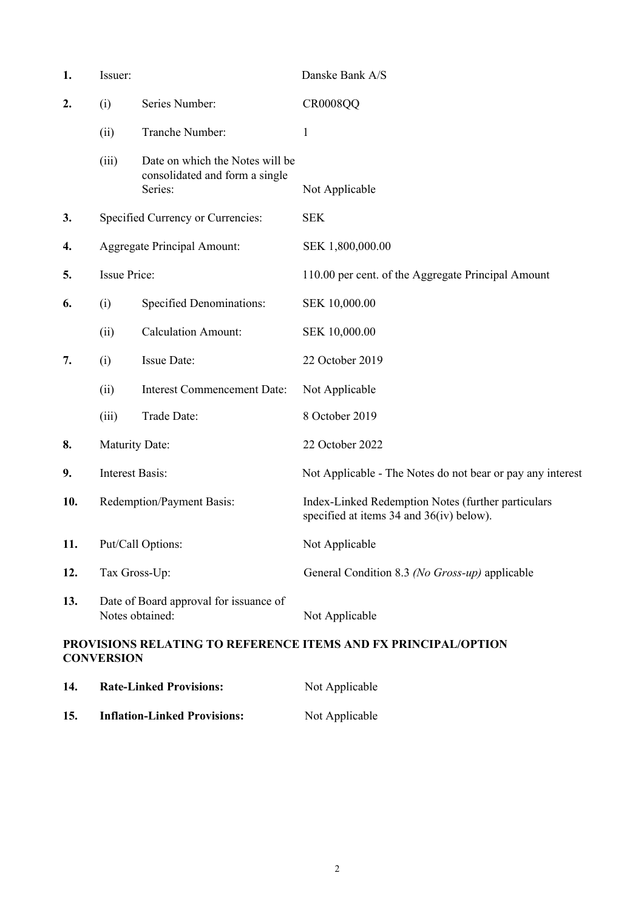| 1.  | Issuer:                                                   |                                                                   | Danske Bank A/S                                                                                |
|-----|-----------------------------------------------------------|-------------------------------------------------------------------|------------------------------------------------------------------------------------------------|
| 2.  | (i)                                                       | Series Number:                                                    | <b>CR0008QQ</b>                                                                                |
|     | (ii)                                                      | Tranche Number:                                                   | 1                                                                                              |
|     | (iii)                                                     | Date on which the Notes will be<br>consolidated and form a single |                                                                                                |
|     |                                                           | Series:                                                           | Not Applicable                                                                                 |
| 3.  |                                                           | Specified Currency or Currencies:                                 | <b>SEK</b>                                                                                     |
| 4.  |                                                           | <b>Aggregate Principal Amount:</b>                                | SEK 1,800,000.00                                                                               |
| 5.  | <b>Issue Price:</b>                                       |                                                                   | 110.00 per cent. of the Aggregate Principal Amount                                             |
| 6.  | (i)                                                       | <b>Specified Denominations:</b>                                   | SEK 10,000.00                                                                                  |
|     | (ii)                                                      | <b>Calculation Amount:</b>                                        | SEK 10,000.00                                                                                  |
| 7.  | (i)                                                       | Issue Date:                                                       | 22 October 2019                                                                                |
|     | (ii)                                                      | <b>Interest Commencement Date:</b>                                | Not Applicable                                                                                 |
|     | (iii)                                                     | Trade Date:                                                       | 8 October 2019                                                                                 |
| 8.  | <b>Maturity Date:</b>                                     |                                                                   | 22 October 2022                                                                                |
| 9.  | <b>Interest Basis:</b>                                    |                                                                   | Not Applicable - The Notes do not bear or pay any interest                                     |
| 10. | Redemption/Payment Basis:                                 |                                                                   | Index-Linked Redemption Notes (further particulars<br>specified at items 34 and 36(iv) below). |
| 11. |                                                           | Put/Call Options:                                                 | Not Applicable                                                                                 |
| 12. | Tax Gross-Up:                                             |                                                                   | General Condition 8.3 (No Gross-up) applicable                                                 |
| 13. | Date of Board approval for issuance of<br>Notes obtained: |                                                                   | Not Applicable                                                                                 |
|     | <b>CONVERSION</b>                                         |                                                                   | <b>PROVISIONS RELATING TO REFERENCE ITEMS AND FX PRINCIPAL/OPTION</b>                          |
| 14. |                                                           | <b>Rate-Linked Provisions:</b>                                    | Not Applicable                                                                                 |

**15. Inflation-Linked Provisions:** Not Applicable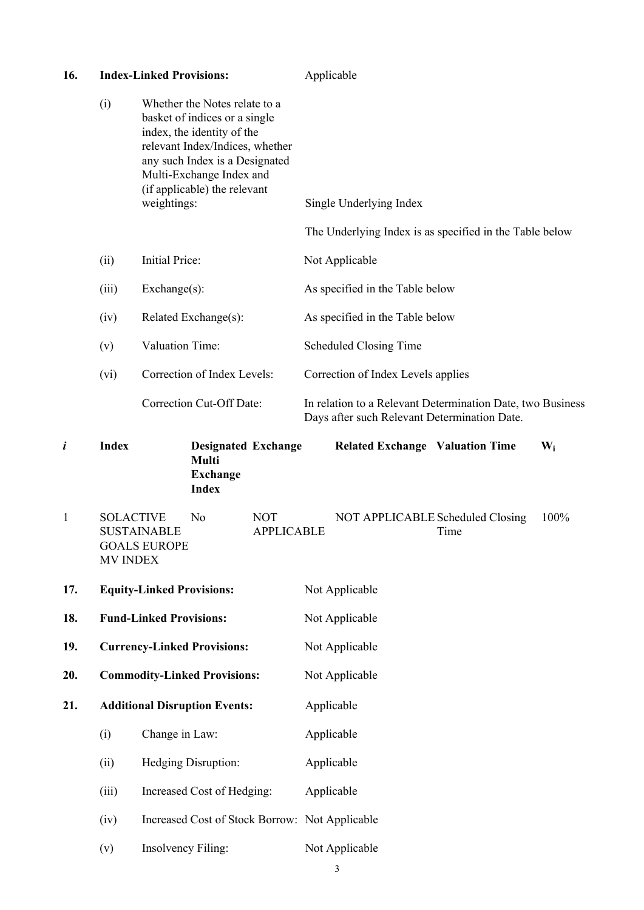| 16. |                                     | <b>Index-Linked Provisions:</b>           |                                                                                                                                                                                                                               |                                 | Applicable                                   |                                                            |       |
|-----|-------------------------------------|-------------------------------------------|-------------------------------------------------------------------------------------------------------------------------------------------------------------------------------------------------------------------------------|---------------------------------|----------------------------------------------|------------------------------------------------------------|-------|
|     | (i)                                 | weightings:                               | Whether the Notes relate to a<br>basket of indices or a single<br>index, the identity of the<br>relevant Index/Indices, whether<br>any such Index is a Designated<br>Multi-Exchange Index and<br>(if applicable) the relevant |                                 | Single Underlying Index                      | The Underlying Index is as specified in the Table below    |       |
|     | (ii)                                | Initial Price:                            |                                                                                                                                                                                                                               |                                 | Not Applicable                               |                                                            |       |
|     | (iii)                               | Exchange(s):                              |                                                                                                                                                                                                                               |                                 | As specified in the Table below              |                                                            |       |
|     | (iv)                                |                                           | Related Exchange(s):                                                                                                                                                                                                          |                                 | As specified in the Table below              |                                                            |       |
|     | (v)                                 | Valuation Time:                           |                                                                                                                                                                                                                               |                                 | <b>Scheduled Closing Time</b>                |                                                            |       |
|     | (vi)                                |                                           | Correction of Index Levels:                                                                                                                                                                                                   |                                 | Correction of Index Levels applies           |                                                            |       |
|     |                                     |                                           | <b>Correction Cut-Off Date:</b>                                                                                                                                                                                               |                                 | Days after such Relevant Determination Date. | In relation to a Relevant Determination Date, two Business |       |
| i   | <b>Index</b>                        |                                           | <b>Designated Exchange</b><br><b>Multi</b><br><b>Exchange</b><br><b>Index</b>                                                                                                                                                 |                                 | <b>Related Exchange Valuation Time</b>       |                                                            | $W_i$ |
| 1   | <b>SOLACTIVE</b><br><b>MV INDEX</b> | <b>SUSTAINABLE</b><br><b>GOALS EUROPE</b> | No                                                                                                                                                                                                                            | <b>NOT</b><br><b>APPLICABLE</b> | NOT APPLICABLE Scheduled Closing             | Time                                                       | 100%  |
| 17. |                                     | <b>Equity-Linked Provisions:</b>          |                                                                                                                                                                                                                               |                                 | Not Applicable                               |                                                            |       |

18. **Fund-Linked Provisions:** Not Applicable

**19. Currency-Linked Provisions:** Not Applicable

**20. Commodity-Linked Provisions:** Not Applicable

**21. Additional Disruption Events:** Applicable

(i) Change in Law: Applicable

(ii) Hedging Disruption: Applicable

(iii) Increased Cost of Hedging: Applicable

(iv) Increased Cost of Stock Borrow: Not Applicable

(v) Insolvency Filing: Not Applicable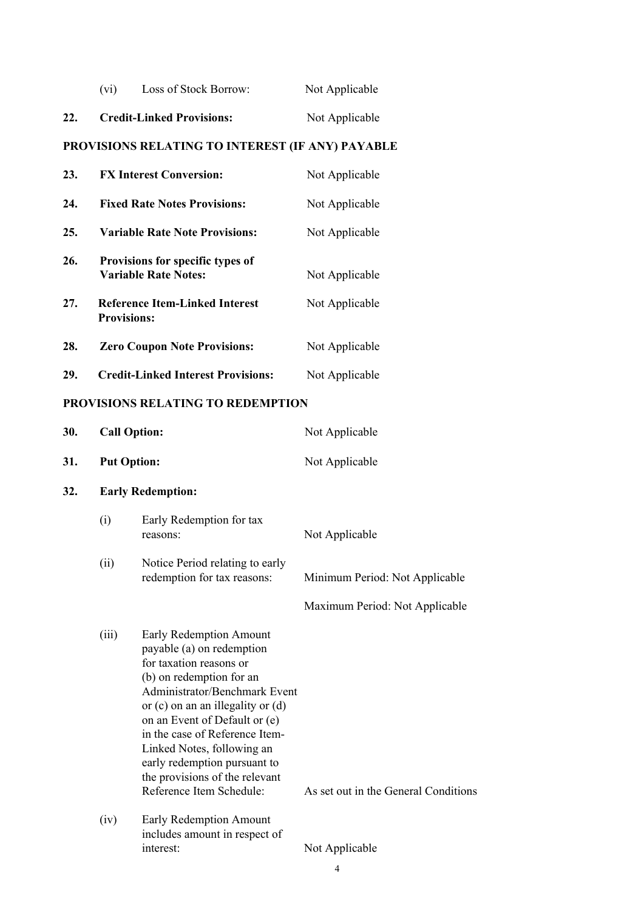|     | $(v_1)$ | Loss of Stock Borrow:            | Not Applicable |
|-----|---------|----------------------------------|----------------|
| 22. |         | <b>Credit-Linked Provisions:</b> | Not Applicable |

# **PROVISIONS RELATING TO INTEREST (IF ANY) PAYABLE**

| 23. | <b>FX Interest Conversion:</b>                                  | Not Applicable |
|-----|-----------------------------------------------------------------|----------------|
| 24. | <b>Fixed Rate Notes Provisions:</b>                             | Not Applicable |
| 25. | <b>Variable Rate Note Provisions:</b>                           | Not Applicable |
| 26. | Provisions for specific types of<br><b>Variable Rate Notes:</b> | Not Applicable |
| 27. | <b>Reference Item-Linked Interest</b><br><b>Provisions:</b>     | Not Applicable |
| 28. | <b>Zero Coupon Note Provisions:</b>                             | Not Applicable |
| 29. | <b>Credit-Linked Interest Provisions:</b>                       | Not Applicable |

# **PROVISIONS RELATING TO REDEMPTION**

| 30. | <b>Call Option:</b>      |                                                                                                                                                                                                                                                                                                                                                                                      | Not Applicable                       |
|-----|--------------------------|--------------------------------------------------------------------------------------------------------------------------------------------------------------------------------------------------------------------------------------------------------------------------------------------------------------------------------------------------------------------------------------|--------------------------------------|
| 31. | <b>Put Option:</b>       |                                                                                                                                                                                                                                                                                                                                                                                      | Not Applicable                       |
| 32. | <b>Early Redemption:</b> |                                                                                                                                                                                                                                                                                                                                                                                      |                                      |
|     | (i)                      | Early Redemption for tax<br>reasons:                                                                                                                                                                                                                                                                                                                                                 | Not Applicable                       |
|     | (ii)                     | Notice Period relating to early<br>redemption for tax reasons:                                                                                                                                                                                                                                                                                                                       | Minimum Period: Not Applicable       |
|     |                          |                                                                                                                                                                                                                                                                                                                                                                                      | Maximum Period: Not Applicable       |
|     | (iii)                    | Early Redemption Amount<br>payable (a) on redemption<br>for taxation reasons or<br>(b) on redemption for an<br>Administrator/Benchmark Event<br>or $(c)$ on an an illegality or $(d)$<br>on an Event of Default or (e)<br>in the case of Reference Item-<br>Linked Notes, following an<br>early redemption pursuant to<br>the provisions of the relevant<br>Reference Item Schedule: | As set out in the General Conditions |
|     | (iv)                     | Early Redemption Amount<br>includes amount in respect of                                                                                                                                                                                                                                                                                                                             |                                      |
|     |                          | interest:                                                                                                                                                                                                                                                                                                                                                                            | Not Applicable                       |
|     |                          |                                                                                                                                                                                                                                                                                                                                                                                      | 4                                    |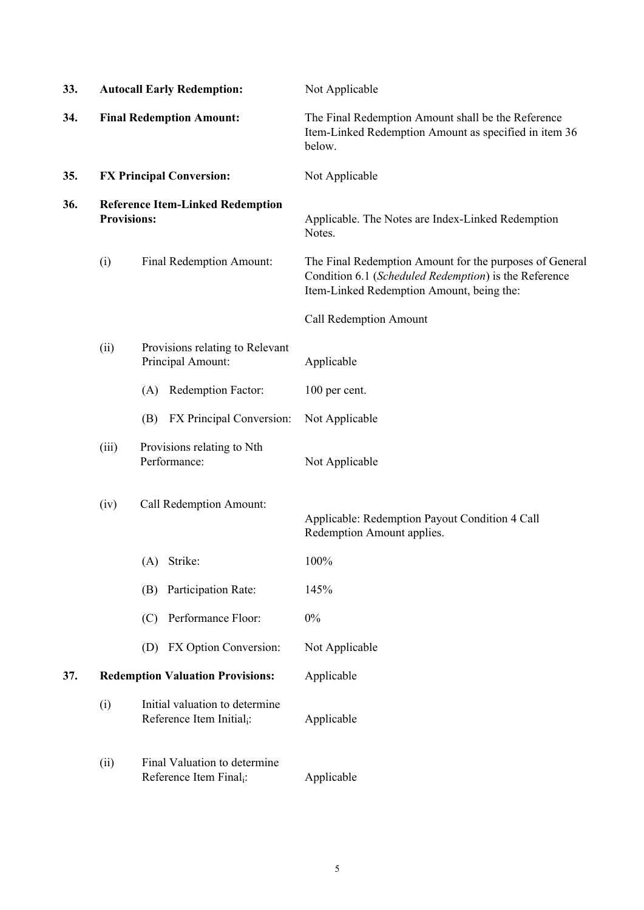| 33. |                    | <b>Autocall Early Redemption:</b>                                       | Not Applicable                                                                                                                                                |
|-----|--------------------|-------------------------------------------------------------------------|---------------------------------------------------------------------------------------------------------------------------------------------------------------|
| 34. |                    | <b>Final Redemption Amount:</b>                                         | The Final Redemption Amount shall be the Reference<br>Item-Linked Redemption Amount as specified in item 36<br>below.                                         |
| 35. |                    | <b>FX Principal Conversion:</b>                                         | Not Applicable                                                                                                                                                |
| 36. | <b>Provisions:</b> | <b>Reference Item-Linked Redemption</b>                                 | Applicable. The Notes are Index-Linked Redemption<br>Notes.                                                                                                   |
|     | (i)                | Final Redemption Amount:                                                | The Final Redemption Amount for the purposes of General<br>Condition 6.1 (Scheduled Redemption) is the Reference<br>Item-Linked Redemption Amount, being the: |
|     |                    |                                                                         | <b>Call Redemption Amount</b>                                                                                                                                 |
|     | (ii)               | Provisions relating to Relevant<br>Principal Amount:                    | Applicable                                                                                                                                                    |
|     |                    | Redemption Factor:<br>(A)                                               | 100 per cent.                                                                                                                                                 |
|     |                    | FX Principal Conversion:<br>(B)                                         | Not Applicable                                                                                                                                                |
|     | (iii)              | Provisions relating to Nth<br>Performance:                              | Not Applicable                                                                                                                                                |
|     | (iv)               | Call Redemption Amount:                                                 | Applicable: Redemption Payout Condition 4 Call<br>Redemption Amount applies.                                                                                  |
|     |                    | Strike:<br>(A)                                                          | 100%                                                                                                                                                          |
|     |                    | Participation Rate:<br>(B)                                              | 145%                                                                                                                                                          |
|     |                    | Performance Floor:<br>(C)                                               | 0%                                                                                                                                                            |
|     |                    | FX Option Conversion:<br>(D)                                            | Not Applicable                                                                                                                                                |
| 37. |                    | <b>Redemption Valuation Provisions:</b>                                 | Applicable                                                                                                                                                    |
|     | (i)                | Initial valuation to determine<br>Reference Item Initial <sub>i</sub> : | Applicable                                                                                                                                                    |
|     | (ii)               | Final Valuation to determine<br>Reference Item Final <sub>i</sub> :     | Applicable                                                                                                                                                    |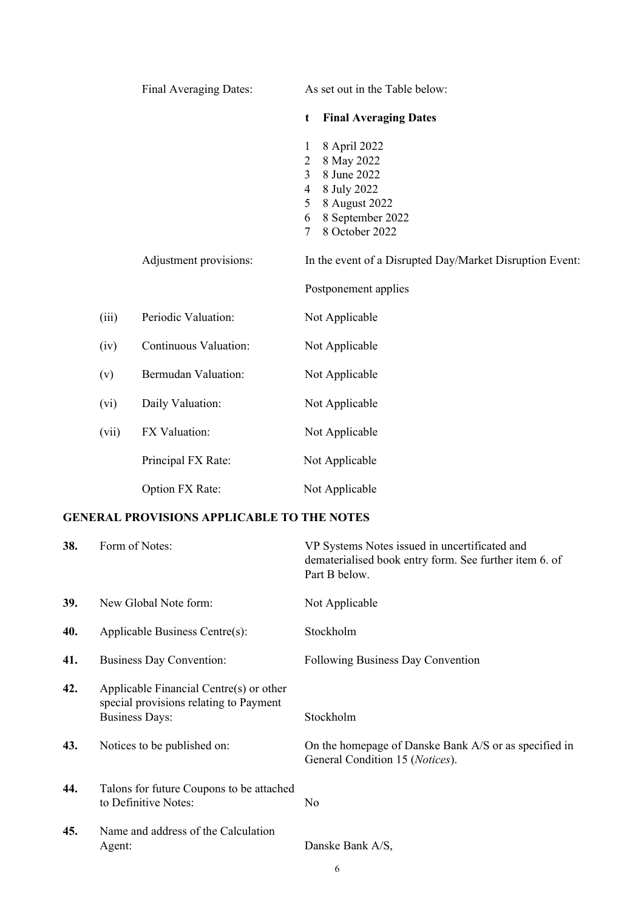|       | Final Averaging Dates: | As set out in the Table below:                                                                                                                                               |
|-------|------------------------|------------------------------------------------------------------------------------------------------------------------------------------------------------------------------|
|       |                        | <b>Final Averaging Dates</b><br>t                                                                                                                                            |
|       |                        | 8 April 2022<br>1<br>8 May 2022<br>$\overline{2}$<br>3<br>8 June 2022<br>8 July 2022<br>$\overline{4}$<br>8 August 2022<br>5<br>8 September 2022<br>6<br>8 October 2022<br>7 |
|       | Adjustment provisions: | In the event of a Disrupted Day/Market Disruption Event:                                                                                                                     |
|       |                        | Postponement applies                                                                                                                                                         |
| (iii) | Periodic Valuation:    | Not Applicable                                                                                                                                                               |
| (iv)  | Continuous Valuation:  | Not Applicable                                                                                                                                                               |
| (v)   | Bermudan Valuation:    | Not Applicable                                                                                                                                                               |
| (vi)  | Daily Valuation:       | Not Applicable                                                                                                                                                               |
| (vii) | FX Valuation:          | Not Applicable                                                                                                                                                               |
|       | Principal FX Rate:     | Not Applicable                                                                                                                                                               |
|       | Option FX Rate:        | Not Applicable                                                                                                                                                               |

# **GENERAL PROVISIONS APPLICABLE TO THE NOTES**

| 38. | Form of Notes:                                                                                             | VP Systems Notes issued in uncertificated and<br>dematerialised book entry form. See further item 6. of<br>Part B below. |
|-----|------------------------------------------------------------------------------------------------------------|--------------------------------------------------------------------------------------------------------------------------|
| 39. | New Global Note form:                                                                                      | Not Applicable                                                                                                           |
| 40. | Applicable Business Centre(s):                                                                             | Stockholm                                                                                                                |
| 41. | <b>Business Day Convention:</b>                                                                            | Following Business Day Convention                                                                                        |
| 42. | Applicable Financial Centre(s) or other<br>special provisions relating to Payment<br><b>Business Days:</b> | Stockholm                                                                                                                |
| 43. | Notices to be published on:                                                                                | On the homepage of Danske Bank A/S or as specified in<br>General Condition 15 (Notices).                                 |
| 44. | Talons for future Coupons to be attached<br>to Definitive Notes:                                           | No                                                                                                                       |
| 45. | Name and address of the Calculation<br>Agent:                                                              | Danske Bank A/S,                                                                                                         |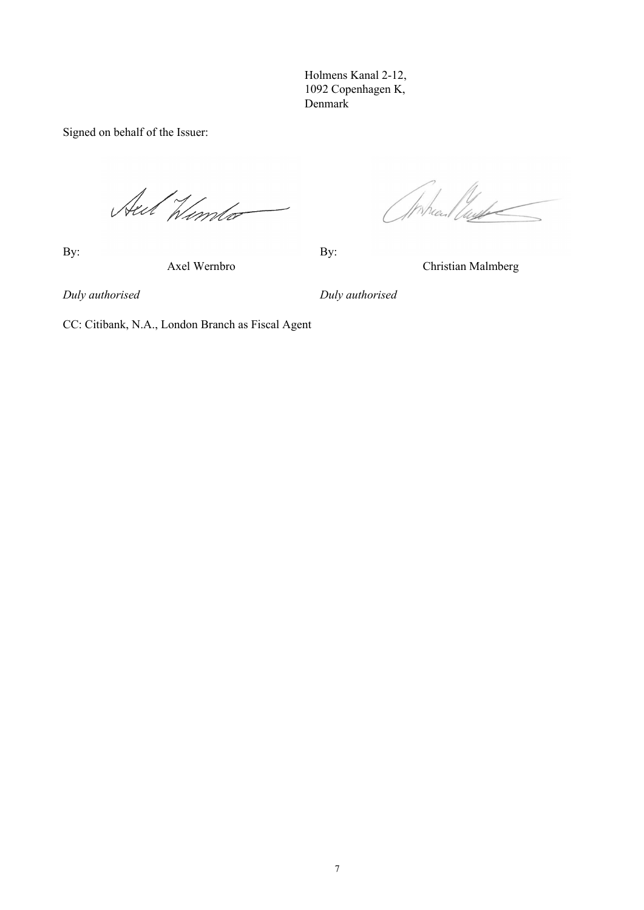Holmens Kanal 2-12, 1092 Copenhagen K, Denmark

Signed on behalf of the Issuer:

Aut Himto

By: By:

Wheel lugh

Axel Wernbro Christian Malmberg

*Duly authorised Duly authorised*

CC: Citibank, N.A., London Branch as Fiscal Agent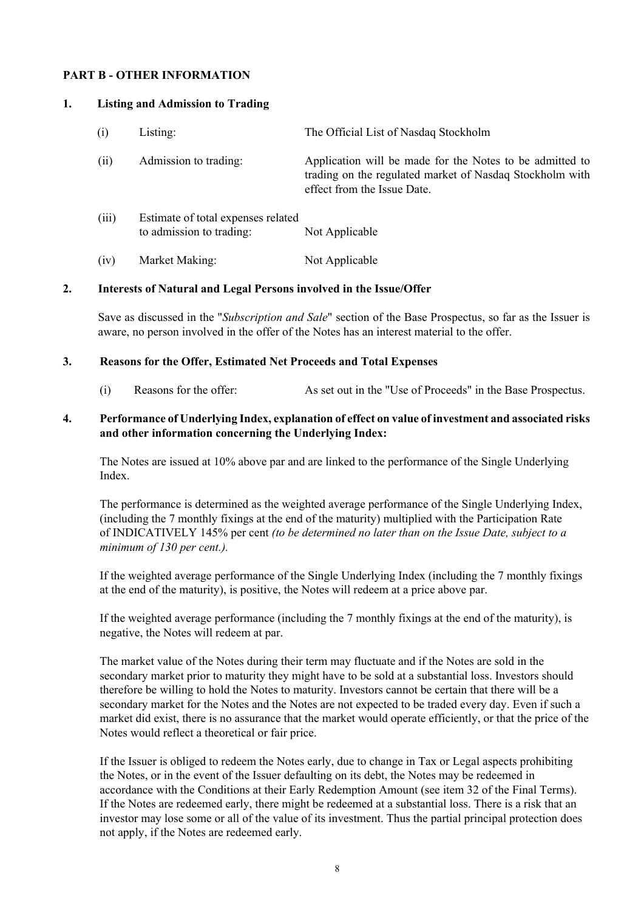### **PART B - OTHER INFORMATION**

#### **1. Listing and Admission to Trading**

| (i)   | Listing:                                                       | The Official List of Nasdaq Stockholm                                                                                                               |
|-------|----------------------------------------------------------------|-----------------------------------------------------------------------------------------------------------------------------------------------------|
| (ii)  | Admission to trading:                                          | Application will be made for the Notes to be admitted to<br>trading on the regulated market of Nasdaq Stockholm with<br>effect from the Issue Date. |
| (iii) | Estimate of total expenses related<br>to admission to trading: | Not Applicable                                                                                                                                      |
| (iv)  | Market Making:                                                 | Not Applicable                                                                                                                                      |

#### **2. Interests of Natural and Legal Persons involved in the Issue/Offer**

Save as discussed in the "*Subscription and Sale*" section of the Base Prospectus, so far as the Issuer is aware, no person involved in the offer of the Notes has an interest material to the offer.

#### **3. Reasons for the Offer, Estimated Net Proceeds and Total Expenses**

(i) Reasons for the offer: As set out in the "Use of Proceeds" in the Base Prospectus.

### **4. Performance of Underlying Index, explanation of effect on value of investment and associated risks and other information concerning the Underlying Index:**

The Notes are issued at 10% above par and are linked to the performance of the Single Underlying Index.

The performance is determined as the weighted average performance of the Single Underlying Index, (including the 7 monthly fixings at the end of the maturity) multiplied with the Participation Rate of INDICATIVELY 145% per cent *(to be determined no later than on the Issue Date, subject to a minimum of 130 per cent.).*

If the weighted average performance of the Single Underlying Index (including the 7 monthly fixings at the end of the maturity), is positive, the Notes will redeem at a price above par.

If the weighted average performance (including the 7 monthly fixings at the end of the maturity), is negative, the Notes will redeem at par.

The market value of the Notes during their term may fluctuate and if the Notes are sold in the secondary market prior to maturity they might have to be sold at a substantial loss. Investors should therefore be willing to hold the Notes to maturity. Investors cannot be certain that there will be a secondary market for the Notes and the Notes are not expected to be traded every day. Even if such a market did exist, there is no assurance that the market would operate efficiently, or that the price of the Notes would reflect a theoretical or fair price.

If the Issuer is obliged to redeem the Notes early, due to change in Tax or Legal aspects prohibiting the Notes, or in the event of the Issuer defaulting on its debt, the Notes may be redeemed in accordance with the Conditions at their Early Redemption Amount (see item 32 of the Final Terms). If the Notes are redeemed early, there might be redeemed at a substantial loss. There is a risk that an investor may lose some or all of the value of its investment. Thus the partial principal protection does not apply, if the Notes are redeemed early.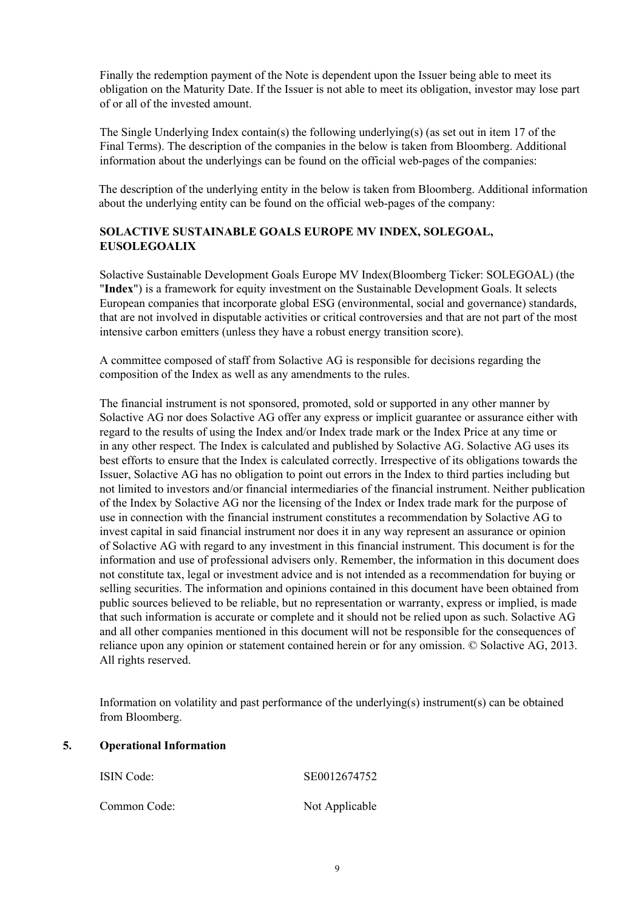Finally the redemption payment of the Note is dependent upon the Issuer being able to meet its obligation on the Maturity Date. If the Issuer is not able to meet its obligation, investor may lose part of or all of the invested amount.

The Single Underlying Index contain(s) the following underlying(s) (as set out in item 17 of the Final Terms). The description of the companies in the below is taken from Bloomberg. Additional information about the underlyings can be found on the official web-pages of the companies:

The description of the underlying entity in the below is taken from Bloomberg. Additional information about the underlying entity can be found on the official web-pages of the company:

# **SOLACTIVE SUSTAINABLE GOALS EUROPE MV INDEX, SOLEGOAL, EUSOLEGOALIX**

Solactive Sustainable Development Goals Europe MV Index(Bloomberg Ticker: SOLEGOAL) (the "**Index**") is a framework for equity investment on the Sustainable Development Goals. It selects European companies that incorporate global ESG (environmental, social and governance) standards, that are not involved in disputable activities or critical controversies and that are not part of the most intensive carbon emitters (unless they have a robust energy transition score).

A committee composed of staff from Solactive AG is responsible for decisions regarding the composition of the Index as well as any amendments to the rules.

The financial instrument is not sponsored, promoted, sold or supported in any other manner by Solactive AG nor does Solactive AG offer any express or implicit guarantee or assurance either with regard to the results of using the Index and/or Index trade mark or the Index Price at any time or in any other respect. The Index is calculated and published by Solactive AG. Solactive AG uses its best efforts to ensure that the Index is calculated correctly. Irrespective of its obligations towards the Issuer, Solactive AG has no obligation to point out errors in the Index to third parties including but not limited to investors and/or financial intermediaries of the financial instrument. Neither publication of the Index by Solactive AG nor the licensing of the Index or Index trade mark for the purpose of use in connection with the financial instrument constitutes a recommendation by Solactive AG to invest capital in said financial instrument nor does it in any way represent an assurance or opinion of Solactive AG with regard to any investment in this financial instrument. This document is for the information and use of professional advisers only. Remember, the information in this document does not constitute tax, legal or investment advice and is not intended as a recommendation for buying or selling securities. The information and opinions contained in this document have been obtained from public sources believed to be reliable, but no representation or warranty, express or implied, is made that such information is accurate or complete and it should not be relied upon as such. Solactive AG and all other companies mentioned in this document will not be responsible for the consequences of reliance upon any opinion or statement contained herein or for any omission. © Solactive AG, 2013. All rights reserved.

Information on volatility and past performance of the underlying(s) instrument(s) can be obtained from Bloomberg.

# **5. Operational Information**

| <b>ISIN</b> Code: | SE0012674752   |
|-------------------|----------------|
| Common Code:      | Not Applicable |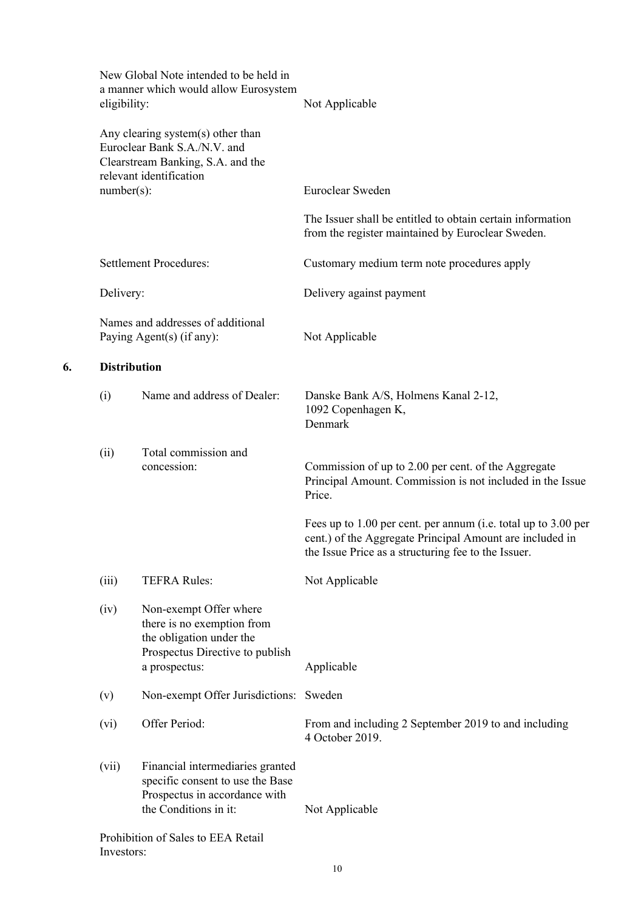| a manner which would allow Eurosystem                                                                                                | Not Applicable                                                                                                                                                                    |
|--------------------------------------------------------------------------------------------------------------------------------------|-----------------------------------------------------------------------------------------------------------------------------------------------------------------------------------|
| Any clearing system(s) other than<br>Euroclear Bank S.A./N.V. and<br>Clearstream Banking, S.A. and the<br>relevant identification    |                                                                                                                                                                                   |
|                                                                                                                                      | Euroclear Sweden                                                                                                                                                                  |
|                                                                                                                                      | The Issuer shall be entitled to obtain certain information<br>from the register maintained by Euroclear Sweden.                                                                   |
| <b>Settlement Procedures:</b>                                                                                                        | Customary medium term note procedures apply                                                                                                                                       |
|                                                                                                                                      | Delivery against payment                                                                                                                                                          |
| Names and addresses of additional<br>Paying Agent(s) (if any):                                                                       | Not Applicable                                                                                                                                                                    |
|                                                                                                                                      |                                                                                                                                                                                   |
| Name and address of Dealer:                                                                                                          | Danske Bank A/S, Holmens Kanal 2-12,<br>1092 Copenhagen K,<br>Denmark                                                                                                             |
| Total commission and<br>concession:                                                                                                  | Commission of up to 2.00 per cent. of the Aggregate<br>Principal Amount. Commission is not included in the Issue<br>Price.                                                        |
|                                                                                                                                      | Fees up to 1.00 per cent. per annum (i.e. total up to 3.00 per<br>cent.) of the Aggregate Principal Amount are included in<br>the Issue Price as a structuring fee to the Issuer. |
| <b>TEFRA Rules:</b>                                                                                                                  | Not Applicable                                                                                                                                                                    |
| Non-exempt Offer where<br>there is no exemption from<br>the obligation under the<br>Prospectus Directive to publish<br>a prospectus: | Applicable                                                                                                                                                                        |
| Non-exempt Offer Jurisdictions:                                                                                                      | Sweden                                                                                                                                                                            |
| Offer Period:                                                                                                                        | From and including 2 September 2019 to and including<br>4 October 2019.                                                                                                           |
| Financial intermediaries granted<br>specific consent to use the Base<br>Prospectus in accordance with<br>the Conditions in it:       | Not Applicable                                                                                                                                                                    |
|                                                                                                                                      | Prohibition of Sales to EEA Retail                                                                                                                                                |

**6.**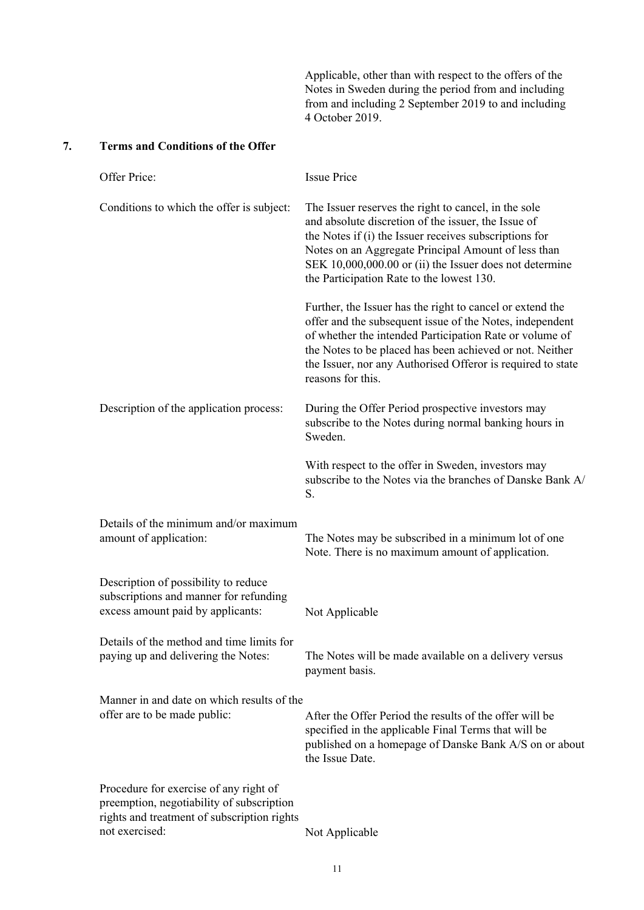Applicable, other than with respect to the offers of the Notes in Sweden during the period from and including from and including 2 September 2019 to and including 4 October 2019.

# **7. Terms and Conditions of the Offer**

| Offer Price:                                                                                                                                         | <b>Issue Price</b>                                                                                                                                                                                                                                                                                                                   |
|------------------------------------------------------------------------------------------------------------------------------------------------------|--------------------------------------------------------------------------------------------------------------------------------------------------------------------------------------------------------------------------------------------------------------------------------------------------------------------------------------|
| Conditions to which the offer is subject:                                                                                                            | The Issuer reserves the right to cancel, in the sole<br>and absolute discretion of the issuer, the Issue of<br>the Notes if (i) the Issuer receives subscriptions for<br>Notes on an Aggregate Principal Amount of less than<br>SEK 10,000,000.00 or (ii) the Issuer does not determine<br>the Participation Rate to the lowest 130. |
|                                                                                                                                                      | Further, the Issuer has the right to cancel or extend the<br>offer and the subsequent issue of the Notes, independent<br>of whether the intended Participation Rate or volume of<br>the Notes to be placed has been achieved or not. Neither<br>the Issuer, nor any Authorised Offeror is required to state<br>reasons for this.     |
| Description of the application process:                                                                                                              | During the Offer Period prospective investors may<br>subscribe to the Notes during normal banking hours in<br>Sweden.                                                                                                                                                                                                                |
|                                                                                                                                                      | With respect to the offer in Sweden, investors may<br>subscribe to the Notes via the branches of Danske Bank A/<br>S.                                                                                                                                                                                                                |
| Details of the minimum and/or maximum<br>amount of application:                                                                                      | The Notes may be subscribed in a minimum lot of one<br>Note. There is no maximum amount of application.                                                                                                                                                                                                                              |
| Description of possibility to reduce<br>subscriptions and manner for refunding<br>excess amount paid by applicants:                                  | Not Applicable                                                                                                                                                                                                                                                                                                                       |
| Details of the method and time limits for<br>paying up and delivering the Notes:                                                                     | The Notes will be made available on a delivery versus<br>payment basis.                                                                                                                                                                                                                                                              |
| Manner in and date on which results of the<br>offer are to be made public:                                                                           | After the Offer Period the results of the offer will be<br>specified in the applicable Final Terms that will be<br>published on a homepage of Danske Bank A/S on or about<br>the Issue Date.                                                                                                                                         |
| Procedure for exercise of any right of<br>preemption, negotiability of subscription<br>rights and treatment of subscription rights<br>not exercised: | Not Applicable                                                                                                                                                                                                                                                                                                                       |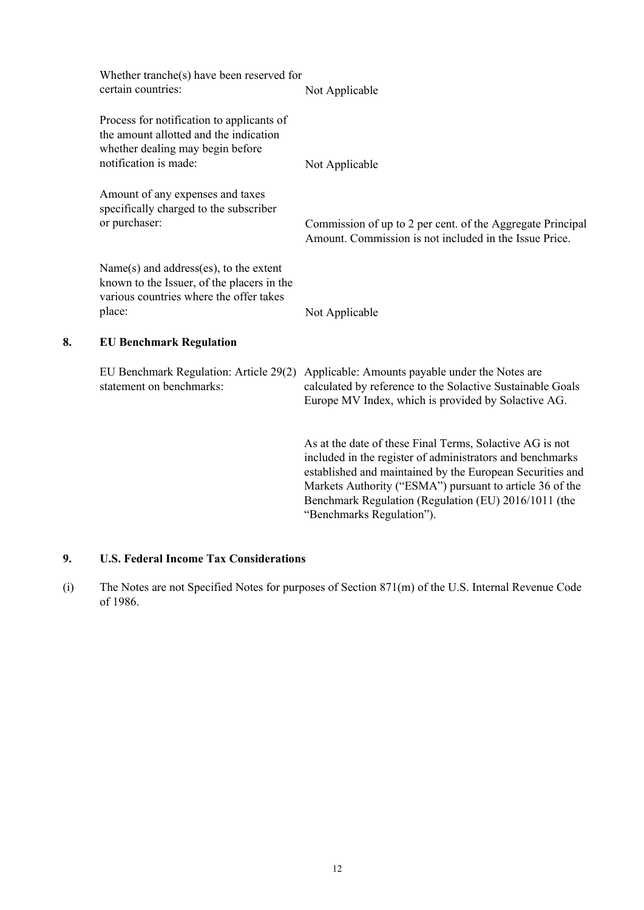|    | Whether tranche(s) have been reserved for<br>certain countries:                                                                                  | Not Applicable                                                                                                                                                                                                                                                                                                                      |
|----|--------------------------------------------------------------------------------------------------------------------------------------------------|-------------------------------------------------------------------------------------------------------------------------------------------------------------------------------------------------------------------------------------------------------------------------------------------------------------------------------------|
|    | Process for notification to applicants of<br>the amount allotted and the indication<br>whether dealing may begin before<br>notification is made: | Not Applicable                                                                                                                                                                                                                                                                                                                      |
|    | Amount of any expenses and taxes<br>specifically charged to the subscriber<br>or purchaser:                                                      | Commission of up to 2 per cent. of the Aggregate Principal<br>Amount. Commission is not included in the Issue Price.                                                                                                                                                                                                                |
|    | Name(s) and address(es), to the extent<br>known to the Issuer, of the placers in the<br>various countries where the offer takes<br>place:        | Not Applicable                                                                                                                                                                                                                                                                                                                      |
| 8. | <b>EU Benchmark Regulation</b>                                                                                                                   |                                                                                                                                                                                                                                                                                                                                     |
|    | EU Benchmark Regulation: Article 29(2)<br>statement on benchmarks:                                                                               | Applicable: Amounts payable under the Notes are<br>calculated by reference to the Solactive Sustainable Goals<br>Europe MV Index, which is provided by Solactive AG.                                                                                                                                                                |
|    |                                                                                                                                                  | As at the date of these Final Terms, Solactive AG is not<br>included in the register of administrators and benchmarks<br>established and maintained by the European Securities and<br>Markets Authority ("ESMA") pursuant to article 36 of the<br>Benchmark Regulation (Regulation (EU) 2016/1011 (the<br>"Benchmarks Regulation"). |

# **9. U.S. Federal Income Tax Considerations**

(i) The Notes are not Specified Notes for purposes of Section 871(m) of the U.S. Internal Revenue Code of 1986.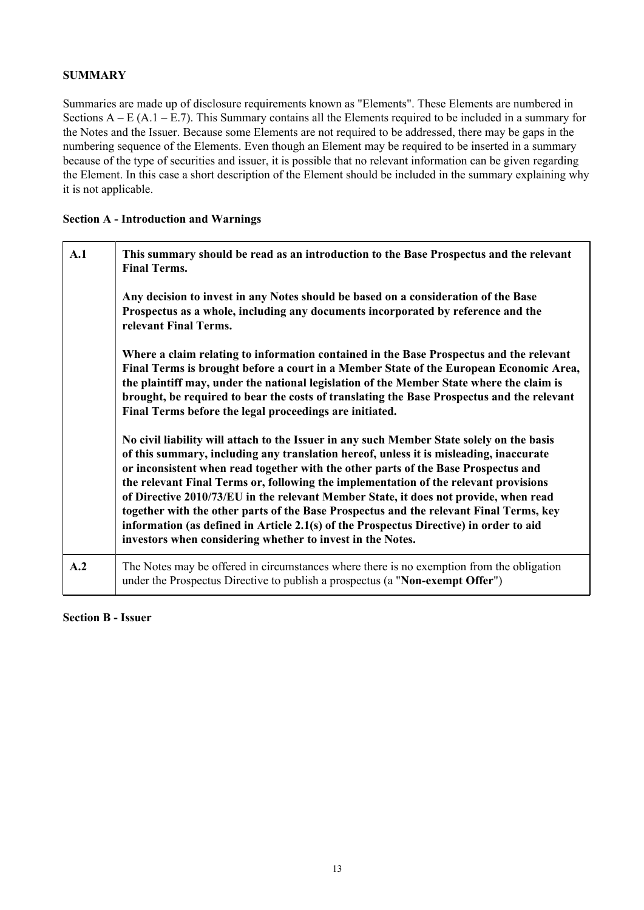# **SUMMARY**

Summaries are made up of disclosure requirements known as "Elements". These Elements are numbered in Sections  $A - E (A.1 - E.7)$ . This Summary contains all the Elements required to be included in a summary for the Notes and the Issuer. Because some Elements are not required to be addressed, there may be gaps in the numbering sequence of the Elements. Even though an Element may be required to be inserted in a summary because of the type of securities and issuer, it is possible that no relevant information can be given regarding the Element. In this case a short description of the Element should be included in the summary explaining why it is not applicable.

# **Section A - Introduction and Warnings**

| A.1 | This summary should be read as an introduction to the Base Prospectus and the relevant<br><b>Final Terms.</b>                                                                                                                                                                                                                                                                                                                                                                                                                                                                                                                                                                                               |  |  |  |
|-----|-------------------------------------------------------------------------------------------------------------------------------------------------------------------------------------------------------------------------------------------------------------------------------------------------------------------------------------------------------------------------------------------------------------------------------------------------------------------------------------------------------------------------------------------------------------------------------------------------------------------------------------------------------------------------------------------------------------|--|--|--|
|     | Any decision to invest in any Notes should be based on a consideration of the Base<br>Prospectus as a whole, including any documents incorporated by reference and the<br>relevant Final Terms.                                                                                                                                                                                                                                                                                                                                                                                                                                                                                                             |  |  |  |
|     | Where a claim relating to information contained in the Base Prospectus and the relevant<br>Final Terms is brought before a court in a Member State of the European Economic Area,<br>the plaintiff may, under the national legislation of the Member State where the claim is<br>brought, be required to bear the costs of translating the Base Prospectus and the relevant<br>Final Terms before the legal proceedings are initiated.                                                                                                                                                                                                                                                                      |  |  |  |
|     | No civil liability will attach to the Issuer in any such Member State solely on the basis<br>of this summary, including any translation hereof, unless it is misleading, inaccurate<br>or inconsistent when read together with the other parts of the Base Prospectus and<br>the relevant Final Terms or, following the implementation of the relevant provisions<br>of Directive 2010/73/EU in the relevant Member State, it does not provide, when read<br>together with the other parts of the Base Prospectus and the relevant Final Terms, key<br>information (as defined in Article 2.1(s) of the Prospectus Directive) in order to aid<br>investors when considering whether to invest in the Notes. |  |  |  |
| A.2 | The Notes may be offered in circumstances where there is no exemption from the obligation<br>under the Prospectus Directive to publish a prospectus (a "Non-exempt Offer")                                                                                                                                                                                                                                                                                                                                                                                                                                                                                                                                  |  |  |  |

**Section B - Issuer**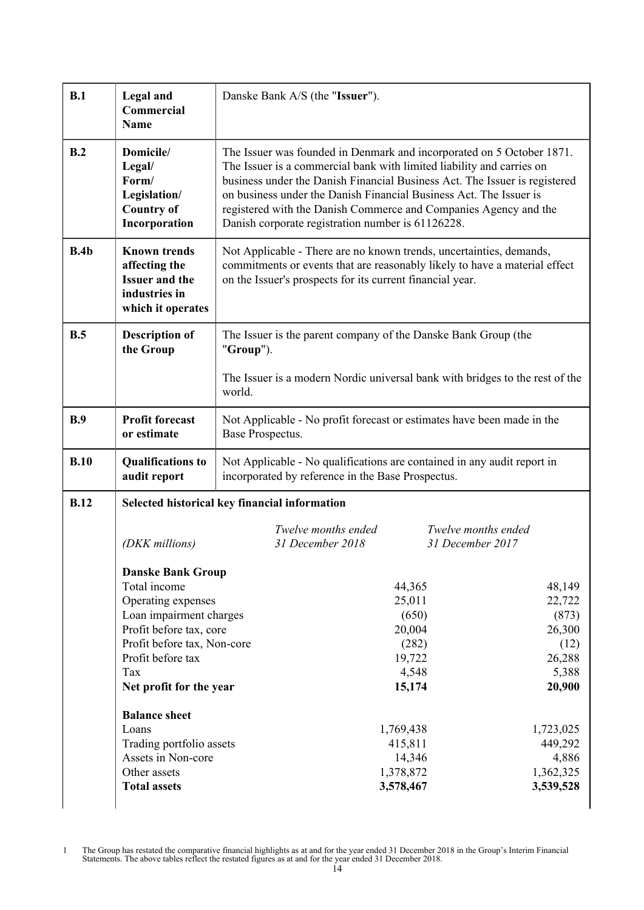| B.1  | <b>Legal</b> and<br>Commercial<br><b>Name</b>                                                                                                                                                                                                                                                                 | Danske Bank A/S (the "Issuer").                                                                                                                                                                                                                                                                                                                                                                                             |  |  |
|------|---------------------------------------------------------------------------------------------------------------------------------------------------------------------------------------------------------------------------------------------------------------------------------------------------------------|-----------------------------------------------------------------------------------------------------------------------------------------------------------------------------------------------------------------------------------------------------------------------------------------------------------------------------------------------------------------------------------------------------------------------------|--|--|
| B.2  | Domicile/<br>Legal/<br>Form/<br>Legislation/<br><b>Country of</b><br>Incorporation                                                                                                                                                                                                                            | The Issuer was founded in Denmark and incorporated on 5 October 1871.<br>The Issuer is a commercial bank with limited liability and carries on<br>business under the Danish Financial Business Act. The Issuer is registered<br>on business under the Danish Financial Business Act. The Issuer is<br>registered with the Danish Commerce and Companies Agency and the<br>Danish corporate registration number is 61126228. |  |  |
| B.4b | <b>Known trends</b><br>affecting the<br><b>Issuer and the</b><br>industries in<br>which it operates                                                                                                                                                                                                           | Not Applicable - There are no known trends, uncertainties, demands,<br>commitments or events that are reasonably likely to have a material effect<br>on the Issuer's prospects for its current financial year.                                                                                                                                                                                                              |  |  |
| B.5  | <b>Description of</b><br>the Group                                                                                                                                                                                                                                                                            | The Issuer is the parent company of the Danske Bank Group (the<br>"Group").                                                                                                                                                                                                                                                                                                                                                 |  |  |
|      |                                                                                                                                                                                                                                                                                                               | The Issuer is a modern Nordic universal bank with bridges to the rest of the<br>world.                                                                                                                                                                                                                                                                                                                                      |  |  |
| B.9  | <b>Profit forecast</b><br>or estimate                                                                                                                                                                                                                                                                         | Not Applicable - No profit forecast or estimates have been made in the<br>Base Prospectus.                                                                                                                                                                                                                                                                                                                                  |  |  |
| B.10 | <b>Qualifications to</b><br>audit report                                                                                                                                                                                                                                                                      | Not Applicable - No qualifications are contained in any audit report in<br>incorporated by reference in the Base Prospectus.                                                                                                                                                                                                                                                                                                |  |  |
| B.12 |                                                                                                                                                                                                                                                                                                               | Selected historical key financial information                                                                                                                                                                                                                                                                                                                                                                               |  |  |
|      | (DKK millions)                                                                                                                                                                                                                                                                                                | Twelve months ended<br>Twelve months ended<br>31 December 2018<br>31 December 2017                                                                                                                                                                                                                                                                                                                                          |  |  |
|      | <b>Danske Bank Group</b><br>Total income<br>Operating expenses<br>Loan impairment charges<br>Profit before tax, core<br>Profit before tax, Non-core<br>Profit before tax<br>Tax<br>Net profit for the year<br><b>Balance sheet</b><br>Loans<br>Trading portfolio assets<br>Assets in Non-core<br>Other assets | 44,365<br>48,149<br>25,011<br>22,722<br>(650)<br>(873)<br>20,004<br>26,300<br>(282)<br>(12)<br>19,722<br>26,288<br>5,388<br>4,548<br>15,174<br>20,900<br>1,769,438<br>1,723,025<br>415,811<br>449,292<br>14,346<br>4,886<br>1,378,872<br>1,362,325                                                                                                                                                                          |  |  |
|      | <b>Total assets</b>                                                                                                                                                                                                                                                                                           | 3,539,528<br>3,578,467                                                                                                                                                                                                                                                                                                                                                                                                      |  |  |

1 The Group has restated the comparative financial highlights as at and for the year ended 31 December 2018 in the Group's Interim Financial Statements. The above tables reflect the restated figures as at and for the year ended 31 December 2018.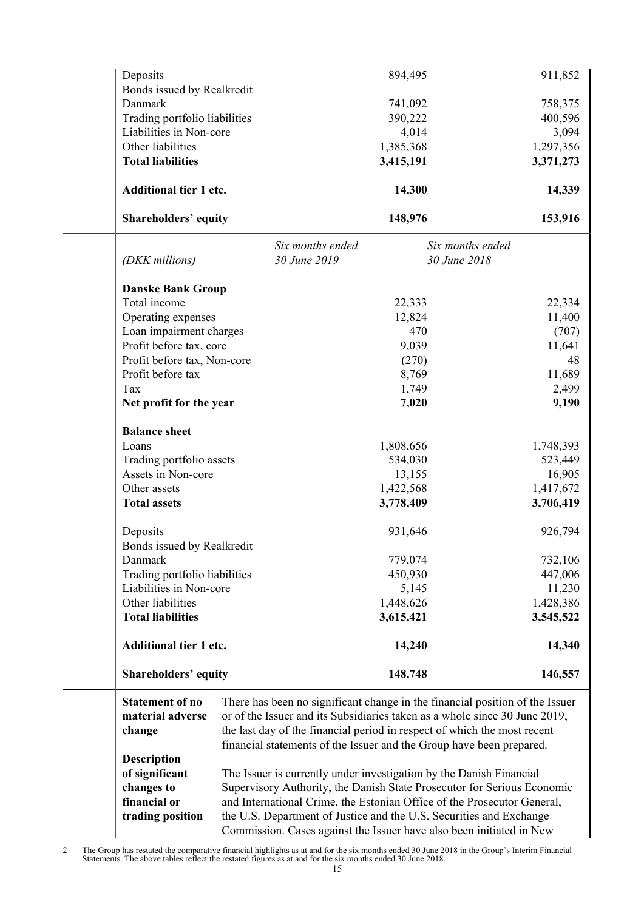| Deposits                      |                                                                              | 894,495          | 911,852   |
|-------------------------------|------------------------------------------------------------------------------|------------------|-----------|
| Bonds issued by Realkredit    |                                                                              |                  |           |
| Danmark                       |                                                                              | 741,092          | 758,375   |
| Trading portfolio liabilities |                                                                              | 390,222          | 400,596   |
| Liabilities in Non-core       |                                                                              | 4,014            | 3,094     |
| Other liabilities             |                                                                              | 1,385,368        | 1,297,356 |
| <b>Total liabilities</b>      |                                                                              | 3,415,191        | 3,371,273 |
| <b>Additional tier 1 etc.</b> |                                                                              | 14,300           | 14,339    |
| <b>Shareholders' equity</b>   |                                                                              | 148,976          | 153,916   |
|                               | Six months ended                                                             | Six months ended |           |
| (DKK millions)                | 30 June 2019                                                                 | 30 June 2018     |           |
| <b>Danske Bank Group</b>      |                                                                              |                  |           |
| Total income                  |                                                                              | 22,333           | 22,334    |
| Operating expenses            |                                                                              | 12,824           | 11,400    |
| Loan impairment charges       |                                                                              | 470              | (707)     |
| Profit before tax, core       |                                                                              | 9,039            | 11,641    |
| Profit before tax, Non-core   |                                                                              | (270)            | 48        |
| Profit before tax             |                                                                              | 8,769            | 11,689    |
| Tax                           |                                                                              | 1,749            | 2,499     |
| Net profit for the year       |                                                                              | 7,020            | 9,190     |
|                               |                                                                              |                  |           |
| <b>Balance sheet</b>          |                                                                              |                  |           |
| Loans                         |                                                                              | 1,808,656        | 1,748,393 |
| Trading portfolio assets      |                                                                              | 534,030          | 523,449   |
| Assets in Non-core            |                                                                              | 13,155           | 16,905    |
| Other assets                  |                                                                              | 1,422,568        | 1,417,672 |
| <b>Total assets</b>           |                                                                              | 3,778,409        | 3,706,419 |
| Deposits                      |                                                                              | 931,646          | 926,794   |
|                               |                                                                              |                  |           |
| Bonds issued by Realkredit    |                                                                              |                  | 732,106   |
| Danmark                       |                                                                              | 779,074          |           |
| Trading portfolio liabilities |                                                                              | 450,930          | 447,006   |
| Liabilities in Non-core       |                                                                              | 5,145            | 11,230    |
| Other liabilities             |                                                                              | 1,448,626        | 1,428,386 |
| <b>Total liabilities</b>      |                                                                              | 3,615,421        | 3,545,522 |
| <b>Additional tier 1 etc.</b> |                                                                              | 14,240           | 14,340    |
| <b>Shareholders' equity</b>   |                                                                              | 148,748          | 146,557   |
| <b>Statement of no</b>        | There has been no significant change in the financial position of the Issuer |                  |           |
| material adverse              | or of the Issuer and its Subsidiaries taken as a whole since 30 June 2019,   |                  |           |
| change                        | the last day of the financial period in respect of which the most recent     |                  |           |
|                               | financial statements of the Issuer and the Group have been prepared.         |                  |           |
| <b>Description</b>            |                                                                              |                  |           |
| of significant                | The Issuer is currently under investigation by the Danish Financial          |                  |           |
| changes to                    | Supervisory Authority, the Danish State Prosecutor for Serious Economic      |                  |           |
| financial or                  | and International Crime, the Estonian Office of the Prosecutor General,      |                  |           |
|                               |                                                                              |                  |           |
| trading position              | the U.S. Department of Justice and the U.S. Securities and Exchange          |                  |           |
|                               | Commission. Cases against the Issuer have also been initiated in New         |                  |           |

2 The Group has restated the comparative financial highlights as at and for the six months ended 30 June 2018 in the Group's Interim Financial Statements. The above tables reflect the restated figures as at and for the six months ended 30 June 2018.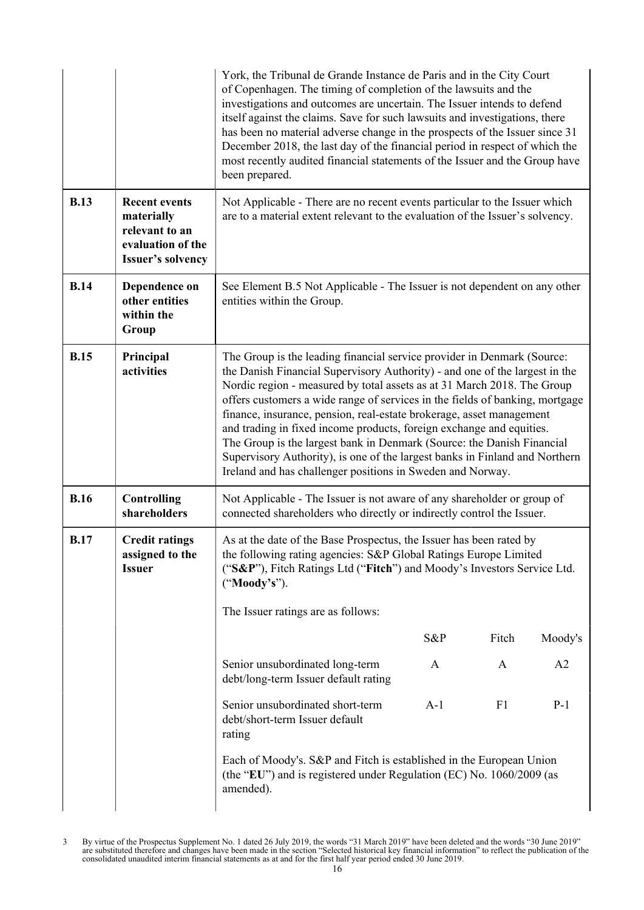|             |                                                                                                       | York, the Tribunal de Grande Instance de Paris and in the City Court<br>of Copenhagen. The timing of completion of the lawsuits and the<br>investigations and outcomes are uncertain. The Issuer intends to defend<br>itself against the claims. Save for such lawsuits and investigations, there<br>has been no material adverse change in the prospects of the Issuer since 31<br>December 2018, the last day of the financial period in respect of which the<br>most recently audited financial statements of the Issuer and the Group have<br>been prepared.                                                                                                                         |       |                |         |
|-------------|-------------------------------------------------------------------------------------------------------|------------------------------------------------------------------------------------------------------------------------------------------------------------------------------------------------------------------------------------------------------------------------------------------------------------------------------------------------------------------------------------------------------------------------------------------------------------------------------------------------------------------------------------------------------------------------------------------------------------------------------------------------------------------------------------------|-------|----------------|---------|
| <b>B.13</b> | <b>Recent events</b><br>materially<br>relevant to an<br>evaluation of the<br><b>Issuer's solvency</b> | Not Applicable - There are no recent events particular to the Issuer which<br>are to a material extent relevant to the evaluation of the Issuer's solvency.                                                                                                                                                                                                                                                                                                                                                                                                                                                                                                                              |       |                |         |
| <b>B.14</b> | Dependence on<br>other entities<br>within the<br>Group                                                | See Element B.5 Not Applicable - The Issuer is not dependent on any other<br>entities within the Group.                                                                                                                                                                                                                                                                                                                                                                                                                                                                                                                                                                                  |       |                |         |
| <b>B.15</b> | Principal<br>activities                                                                               | The Group is the leading financial service provider in Denmark (Source:<br>the Danish Financial Supervisory Authority) - and one of the largest in the<br>Nordic region - measured by total assets as at 31 March 2018. The Group<br>offers customers a wide range of services in the fields of banking, mortgage<br>finance, insurance, pension, real-estate brokerage, asset management<br>and trading in fixed income products, foreign exchange and equities.<br>The Group is the largest bank in Denmark (Source: the Danish Financial<br>Supervisory Authority), is one of the largest banks in Finland and Northern<br>Ireland and has challenger positions in Sweden and Norway. |       |                |         |
| <b>B.16</b> | <b>Controlling</b><br>shareholders                                                                    | Not Applicable - The Issuer is not aware of any shareholder or group of<br>connected shareholders who directly or indirectly control the Issuer.                                                                                                                                                                                                                                                                                                                                                                                                                                                                                                                                         |       |                |         |
| <b>B.17</b> | <b>Credit ratings</b><br>assigned to the<br><b>Issuer</b>                                             | As at the date of the Base Prospectus, the Issuer has been rated by<br>the following rating agencies: S&P Global Ratings Europe Limited<br>("S&P"), Fitch Ratings Ltd ("Fitch") and Moody's Investors Service Ltd.<br>("Moody's").                                                                                                                                                                                                                                                                                                                                                                                                                                                       |       |                |         |
|             |                                                                                                       | The Issuer ratings are as follows:                                                                                                                                                                                                                                                                                                                                                                                                                                                                                                                                                                                                                                                       | S&P   | Fitch          | Moody's |
|             |                                                                                                       | Senior unsubordinated long-term<br>debt/long-term Issuer default rating                                                                                                                                                                                                                                                                                                                                                                                                                                                                                                                                                                                                                  | A     | A              | A2      |
|             |                                                                                                       | Senior unsubordinated short-term<br>debt/short-term Issuer default<br>rating                                                                                                                                                                                                                                                                                                                                                                                                                                                                                                                                                                                                             | $A-1$ | F <sub>1</sub> | $P-1$   |
|             |                                                                                                       | Each of Moody's. S&P and Fitch is established in the European Union<br>(the "EU") and is registered under Regulation (EC) No. 1060/2009 (as<br>amended).                                                                                                                                                                                                                                                                                                                                                                                                                                                                                                                                 |       |                |         |

<sup>3</sup> By virtue of the Prospectus Supplement No. 1 dated 26 July 2019, the words "31 March 2019" have been deleted and the words "30 June 2019" are substituted therefore and changes have been made in the section "Selected historical key financial information" to reflect the publication of the consolidated unaudited interim financial statements as at and for the first half year period ended 30 June 2019.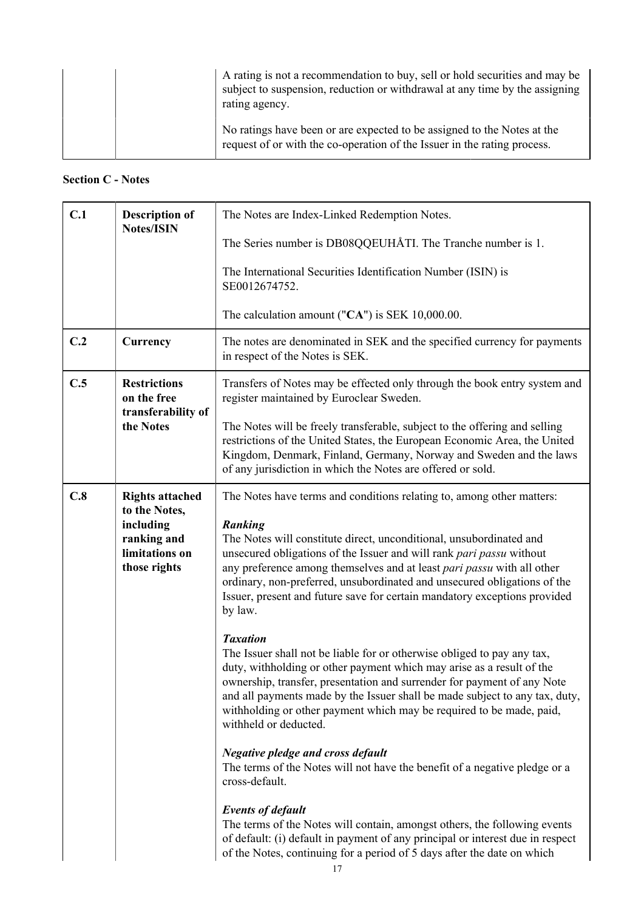| A rating is not a recommendation to buy, sell or hold securities and may be<br>subject to suspension, reduction or withdrawal at any time by the assigning<br>rating agency. |
|------------------------------------------------------------------------------------------------------------------------------------------------------------------------------|
| No ratings have been or are expected to be assigned to the Notes at the<br>request of or with the co-operation of the Issuer in the rating process.                          |

# **Section C - Notes**

| C.1                                       | <b>Description of</b><br><b>Notes/ISIN</b>                                                            | The Notes are Index-Linked Redemption Notes.                                                                                                                                                                                                                                                                                                                                                                                                                                         |  |
|-------------------------------------------|-------------------------------------------------------------------------------------------------------|--------------------------------------------------------------------------------------------------------------------------------------------------------------------------------------------------------------------------------------------------------------------------------------------------------------------------------------------------------------------------------------------------------------------------------------------------------------------------------------|--|
|                                           |                                                                                                       | The Series number is DB08QQEUHÅTI. The Tranche number is 1.                                                                                                                                                                                                                                                                                                                                                                                                                          |  |
|                                           |                                                                                                       | The International Securities Identification Number (ISIN) is<br>SE0012674752.                                                                                                                                                                                                                                                                                                                                                                                                        |  |
|                                           |                                                                                                       | The calculation amount (" $CA$ ") is SEK 10,000.00.                                                                                                                                                                                                                                                                                                                                                                                                                                  |  |
| C.2                                       | Currency                                                                                              | The notes are denominated in SEK and the specified currency for payments<br>in respect of the Notes is SEK.                                                                                                                                                                                                                                                                                                                                                                          |  |
| C.5<br><b>Restrictions</b><br>on the free |                                                                                                       | Transfers of Notes may be effected only through the book entry system and<br>register maintained by Euroclear Sweden.                                                                                                                                                                                                                                                                                                                                                                |  |
|                                           | transferability of<br>the Notes                                                                       | The Notes will be freely transferable, subject to the offering and selling<br>restrictions of the United States, the European Economic Area, the United<br>Kingdom, Denmark, Finland, Germany, Norway and Sweden and the laws<br>of any jurisdiction in which the Notes are offered or sold.                                                                                                                                                                                         |  |
| C.8                                       | <b>Rights attached</b><br>to the Notes,<br>including<br>ranking and<br>limitations on<br>those rights | The Notes have terms and conditions relating to, among other matters:<br><b>Ranking</b><br>The Notes will constitute direct, unconditional, unsubordinated and<br>unsecured obligations of the Issuer and will rank pari passu without<br>any preference among themselves and at least pari passu with all other<br>ordinary, non-preferred, unsubordinated and unsecured obligations of the<br>Issuer, present and future save for certain mandatory exceptions provided<br>by law. |  |
|                                           |                                                                                                       | <b>Taxation</b><br>The Issuer shall not be liable for or otherwise obliged to pay any tax,<br>duty, withholding or other payment which may arise as a result of the<br>ownership, transfer, presentation and surrender for payment of any Note<br>and all payments made by the Issuer shall be made subject to any tax, duty,<br>withholding or other payment which may be required to be made, paid,<br>withheld or deducted.                                                       |  |
|                                           |                                                                                                       | <b>Negative pledge and cross default</b><br>The terms of the Notes will not have the benefit of a negative pledge or a<br>cross-default.                                                                                                                                                                                                                                                                                                                                             |  |
|                                           |                                                                                                       | <b>Events of default</b><br>The terms of the Notes will contain, amongst others, the following events<br>of default: (i) default in payment of any principal or interest due in respect<br>of the Notes, continuing for a period of 5 days after the date on which                                                                                                                                                                                                                   |  |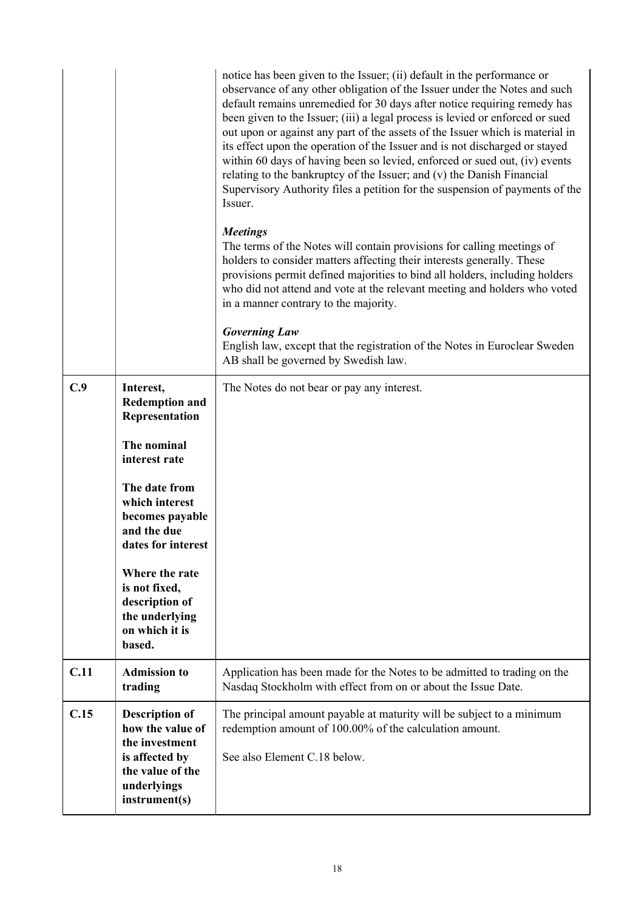|      |                                                                                                                                   | notice has been given to the Issuer; (ii) default in the performance or<br>observance of any other obligation of the Issuer under the Notes and such<br>default remains unremedied for 30 days after notice requiring remedy has<br>been given to the Issuer; (iii) a legal process is levied or enforced or sued<br>out upon or against any part of the assets of the Issuer which is material in<br>its effect upon the operation of the Issuer and is not discharged or stayed<br>within 60 days of having been so levied, enforced or sued out, (iv) events<br>relating to the bankruptcy of the Issuer; and (v) the Danish Financial<br>Supervisory Authority files a petition for the suspension of payments of the<br>Issuer.<br><b>Meetings</b><br>The terms of the Notes will contain provisions for calling meetings of<br>holders to consider matters affecting their interests generally. These<br>provisions permit defined majorities to bind all holders, including holders<br>who did not attend and vote at the relevant meeting and holders who voted<br>in a manner contrary to the majority.<br><b>Governing Law</b> |
|------|-----------------------------------------------------------------------------------------------------------------------------------|------------------------------------------------------------------------------------------------------------------------------------------------------------------------------------------------------------------------------------------------------------------------------------------------------------------------------------------------------------------------------------------------------------------------------------------------------------------------------------------------------------------------------------------------------------------------------------------------------------------------------------------------------------------------------------------------------------------------------------------------------------------------------------------------------------------------------------------------------------------------------------------------------------------------------------------------------------------------------------------------------------------------------------------------------------------------------------------------------------------------------------------|
|      |                                                                                                                                   | English law, except that the registration of the Notes in Euroclear Sweden<br>AB shall be governed by Swedish law.                                                                                                                                                                                                                                                                                                                                                                                                                                                                                                                                                                                                                                                                                                                                                                                                                                                                                                                                                                                                                       |
| C.9  | Interest,<br><b>Redemption and</b><br>Representation                                                                              | The Notes do not bear or pay any interest.                                                                                                                                                                                                                                                                                                                                                                                                                                                                                                                                                                                                                                                                                                                                                                                                                                                                                                                                                                                                                                                                                               |
|      | The nominal<br>interest rate                                                                                                      |                                                                                                                                                                                                                                                                                                                                                                                                                                                                                                                                                                                                                                                                                                                                                                                                                                                                                                                                                                                                                                                                                                                                          |
|      | The date from<br>which interest<br>becomes payable<br>and the due<br>dates for interest                                           |                                                                                                                                                                                                                                                                                                                                                                                                                                                                                                                                                                                                                                                                                                                                                                                                                                                                                                                                                                                                                                                                                                                                          |
|      | Where the rate<br>is not fixed,<br>description of<br>the underlying<br>on which it is<br>based.                                   |                                                                                                                                                                                                                                                                                                                                                                                                                                                                                                                                                                                                                                                                                                                                                                                                                                                                                                                                                                                                                                                                                                                                          |
| C.11 | <b>Admission to</b><br>trading                                                                                                    | Application has been made for the Notes to be admitted to trading on the<br>Nasdaq Stockholm with effect from on or about the Issue Date.                                                                                                                                                                                                                                                                                                                                                                                                                                                                                                                                                                                                                                                                                                                                                                                                                                                                                                                                                                                                |
| C.15 | <b>Description of</b><br>how the value of<br>the investment<br>is affected by<br>the value of the<br>underlyings<br>instrument(s) | The principal amount payable at maturity will be subject to a minimum<br>redemption amount of 100.00% of the calculation amount.<br>See also Element C.18 below.                                                                                                                                                                                                                                                                                                                                                                                                                                                                                                                                                                                                                                                                                                                                                                                                                                                                                                                                                                         |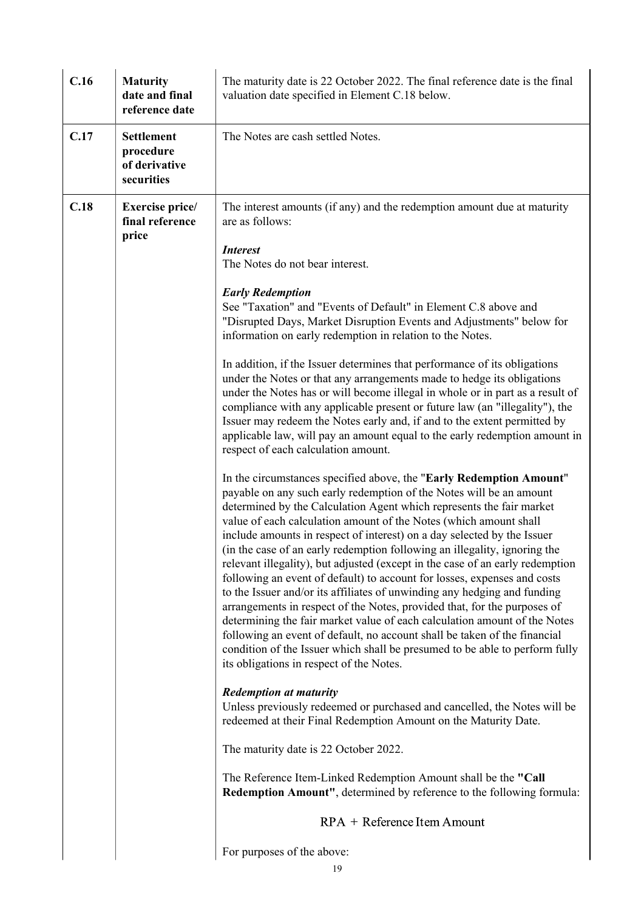| C.16 | <b>Maturity</b><br>date and final<br>reference date           | The maturity date is 22 October 2022. The final reference date is the final<br>valuation date specified in Element C.18 below.                                                                                                                                                                                                                                                                                                                                                                                                                                                                                                                                                                                                                                                                                                                                                                                                                                                                                                                            |
|------|---------------------------------------------------------------|-----------------------------------------------------------------------------------------------------------------------------------------------------------------------------------------------------------------------------------------------------------------------------------------------------------------------------------------------------------------------------------------------------------------------------------------------------------------------------------------------------------------------------------------------------------------------------------------------------------------------------------------------------------------------------------------------------------------------------------------------------------------------------------------------------------------------------------------------------------------------------------------------------------------------------------------------------------------------------------------------------------------------------------------------------------|
| C.17 | <b>Settlement</b><br>procedure<br>of derivative<br>securities | The Notes are cash settled Notes.                                                                                                                                                                                                                                                                                                                                                                                                                                                                                                                                                                                                                                                                                                                                                                                                                                                                                                                                                                                                                         |
| C.18 | <b>Exercise price/</b><br>final reference<br>price            | The interest amounts (if any) and the redemption amount due at maturity<br>are as follows:                                                                                                                                                                                                                                                                                                                                                                                                                                                                                                                                                                                                                                                                                                                                                                                                                                                                                                                                                                |
|      |                                                               | <i>Interest</i><br>The Notes do not bear interest.                                                                                                                                                                                                                                                                                                                                                                                                                                                                                                                                                                                                                                                                                                                                                                                                                                                                                                                                                                                                        |
|      |                                                               | <b>Early Redemption</b><br>See "Taxation" and "Events of Default" in Element C.8 above and<br>"Disrupted Days, Market Disruption Events and Adjustments" below for<br>information on early redemption in relation to the Notes.                                                                                                                                                                                                                                                                                                                                                                                                                                                                                                                                                                                                                                                                                                                                                                                                                           |
|      |                                                               | In addition, if the Issuer determines that performance of its obligations<br>under the Notes or that any arrangements made to hedge its obligations<br>under the Notes has or will become illegal in whole or in part as a result of<br>compliance with any applicable present or future law (an "illegality"), the<br>Issuer may redeem the Notes early and, if and to the extent permitted by<br>applicable law, will pay an amount equal to the early redemption amount in<br>respect of each calculation amount.                                                                                                                                                                                                                                                                                                                                                                                                                                                                                                                                      |
|      |                                                               | In the circumstances specified above, the "Early Redemption Amount"<br>payable on any such early redemption of the Notes will be an amount<br>determined by the Calculation Agent which represents the fair market<br>value of each calculation amount of the Notes (which amount shall<br>include amounts in respect of interest) on a day selected by the Issuer<br>(in the case of an early redemption following an illegality, ignoring the<br>relevant illegality), but adjusted (except in the case of an early redemption<br>following an event of default) to account for losses, expenses and costs<br>to the Issuer and/or its affiliates of unwinding any hedging and funding<br>arrangements in respect of the Notes, provided that, for the purposes of<br>determining the fair market value of each calculation amount of the Notes<br>following an event of default, no account shall be taken of the financial<br>condition of the Issuer which shall be presumed to be able to perform fully<br>its obligations in respect of the Notes. |
|      |                                                               | <b>Redemption at maturity</b><br>Unless previously redeemed or purchased and cancelled, the Notes will be<br>redeemed at their Final Redemption Amount on the Maturity Date.                                                                                                                                                                                                                                                                                                                                                                                                                                                                                                                                                                                                                                                                                                                                                                                                                                                                              |
|      |                                                               | The maturity date is 22 October 2022.                                                                                                                                                                                                                                                                                                                                                                                                                                                                                                                                                                                                                                                                                                                                                                                                                                                                                                                                                                                                                     |
|      |                                                               | The Reference Item-Linked Redemption Amount shall be the "Call<br>Redemption Amount", determined by reference to the following formula:                                                                                                                                                                                                                                                                                                                                                                                                                                                                                                                                                                                                                                                                                                                                                                                                                                                                                                                   |
|      |                                                               | RPA + Reference Item Amount                                                                                                                                                                                                                                                                                                                                                                                                                                                                                                                                                                                                                                                                                                                                                                                                                                                                                                                                                                                                                               |
|      |                                                               | For purposes of the above:<br>19                                                                                                                                                                                                                                                                                                                                                                                                                                                                                                                                                                                                                                                                                                                                                                                                                                                                                                                                                                                                                          |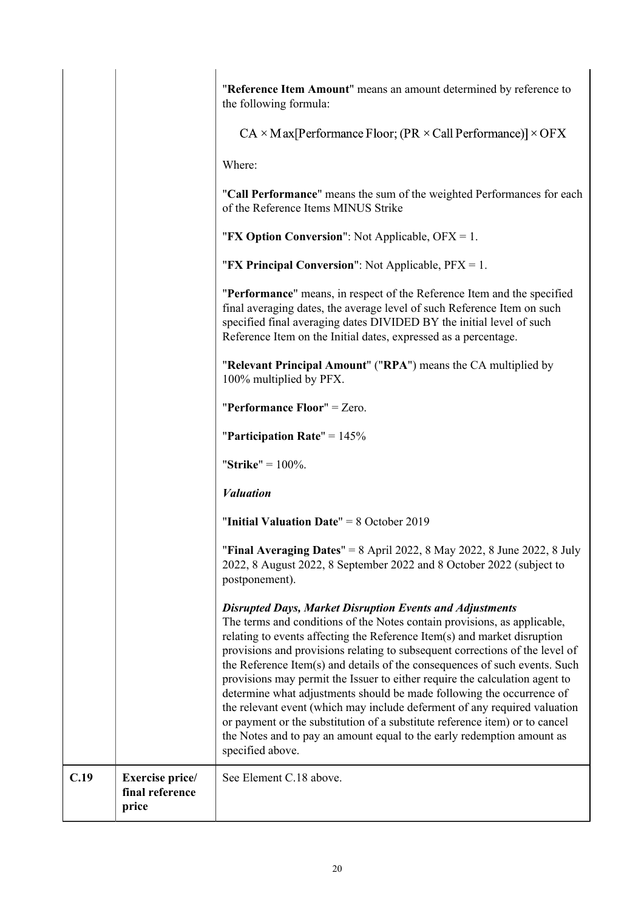| determine what adjustments should be made following the occurrence of<br>the relevant event (which may include deferment of any required valuation<br>or payment or the substitution of a substitute reference item) or to cancel<br>the Notes and to pay an amount equal to the early redemption amount as<br>specified above.                                                                                                                                      |
|----------------------------------------------------------------------------------------------------------------------------------------------------------------------------------------------------------------------------------------------------------------------------------------------------------------------------------------------------------------------------------------------------------------------------------------------------------------------|
| <b>Disrupted Days, Market Disruption Events and Adjustments</b><br>The terms and conditions of the Notes contain provisions, as applicable,<br>relating to events affecting the Reference Item(s) and market disruption<br>provisions and provisions relating to subsequent corrections of the level of<br>the Reference Item(s) and details of the consequences of such events. Such<br>provisions may permit the Issuer to either require the calculation agent to |
| "Final Averaging Dates" = $8$ April 2022, $8$ May 2022, $8$ June 2022, $8$ July<br>2022, 8 August 2022, 8 September 2022 and 8 October 2022 (subject to<br>postponement).                                                                                                                                                                                                                                                                                            |
| "Initial Valuation Date" = $8$ October 2019                                                                                                                                                                                                                                                                                                                                                                                                                          |
| <b><i>Valuation</i></b>                                                                                                                                                                                                                                                                                                                                                                                                                                              |
| "Strike" = $100\%$ .                                                                                                                                                                                                                                                                                                                                                                                                                                                 |
| "Participation Rate" = $145%$                                                                                                                                                                                                                                                                                                                                                                                                                                        |
| "Performance Floor" = $Zero$ .                                                                                                                                                                                                                                                                                                                                                                                                                                       |
| "Relevant Principal Amount" ("RPA") means the CA multiplied by<br>100% multiplied by PFX.                                                                                                                                                                                                                                                                                                                                                                            |
| "Performance" means, in respect of the Reference Item and the specified<br>final averaging dates, the average level of such Reference Item on such<br>specified final averaging dates DIVIDED BY the initial level of such<br>Reference Item on the Initial dates, expressed as a percentage.                                                                                                                                                                        |
| "FX Principal Conversion": Not Applicable, $PFX = 1$ .                                                                                                                                                                                                                                                                                                                                                                                                               |
| "FX Option Conversion": Not Applicable, OFX = 1.                                                                                                                                                                                                                                                                                                                                                                                                                     |
| "Call Performance" means the sum of the weighted Performances for each<br>of the Reference Items MINUS Strike                                                                                                                                                                                                                                                                                                                                                        |
| Where:                                                                                                                                                                                                                                                                                                                                                                                                                                                               |
| $CA \times Max[Performance Floor; (PR \times Call Performance)] \times OFX$                                                                                                                                                                                                                                                                                                                                                                                          |
| "Reference Item Amount" means an amount determined by reference to<br>the following formula:                                                                                                                                                                                                                                                                                                                                                                         |
|                                                                                                                                                                                                                                                                                                                                                                                                                                                                      |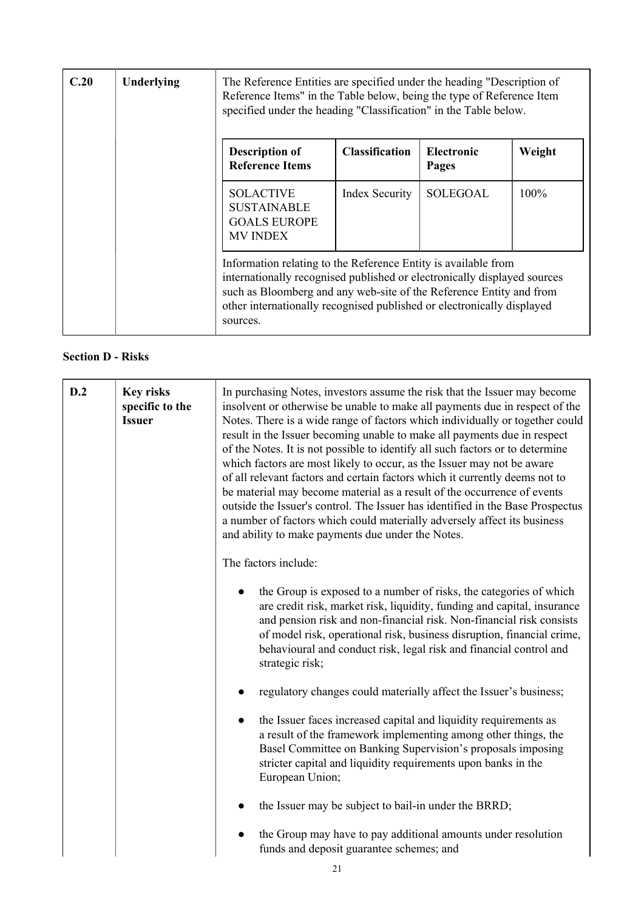| C.20 | Underlying | The Reference Entities are specified under the heading "Description of<br>Reference Items" in the Table below, being the type of Reference Item<br>specified under the heading "Classification" in the Table below.                                                                                     |                       |                            |         |
|------|------------|---------------------------------------------------------------------------------------------------------------------------------------------------------------------------------------------------------------------------------------------------------------------------------------------------------|-----------------------|----------------------------|---------|
|      |            | <b>Description of</b><br><b>Reference Items</b>                                                                                                                                                                                                                                                         | <b>Classification</b> | <b>Electronic</b><br>Pages | Weight  |
|      |            | <b>SOLACTIVE</b><br><b>SUSTAINABLE</b><br><b>GOALS EUROPE</b><br><b>MV INDEX</b>                                                                                                                                                                                                                        | Index Security        | <b>SOLEGOAL</b>            | $100\%$ |
|      |            | Information relating to the Reference Entity is available from<br>internationally recognised published or electronically displayed sources<br>such as Bloomberg and any web-site of the Reference Entity and from<br>other internationally recognised published or electronically displayed<br>sources. |                       |                            |         |

# **Section D - Risks**

| D.2 | <b>Key risks</b><br>specific to the<br><b>Issuer</b> | In purchasing Notes, investors assume the risk that the Issuer may become<br>insolvent or otherwise be unable to make all payments due in respect of the<br>Notes. There is a wide range of factors which individually or together could<br>result in the Issuer becoming unable to make all payments due in respect<br>of the Notes. It is not possible to identify all such factors or to determine<br>which factors are most likely to occur, as the Issuer may not be aware<br>of all relevant factors and certain factors which it currently deems not to<br>be material may become material as a result of the occurrence of events<br>outside the Issuer's control. The Issuer has identified in the Base Prospectus<br>a number of factors which could materially adversely affect its business<br>and ability to make payments due under the Notes. |  |
|-----|------------------------------------------------------|--------------------------------------------------------------------------------------------------------------------------------------------------------------------------------------------------------------------------------------------------------------------------------------------------------------------------------------------------------------------------------------------------------------------------------------------------------------------------------------------------------------------------------------------------------------------------------------------------------------------------------------------------------------------------------------------------------------------------------------------------------------------------------------------------------------------------------------------------------------|--|
|     |                                                      | The factors include:                                                                                                                                                                                                                                                                                                                                                                                                                                                                                                                                                                                                                                                                                                                                                                                                                                         |  |
|     |                                                      | the Group is exposed to a number of risks, the categories of which<br>are credit risk, market risk, liquidity, funding and capital, insurance<br>and pension risk and non-financial risk. Non-financial risk consists<br>of model risk, operational risk, business disruption, financial crime,<br>behavioural and conduct risk, legal risk and financial control and<br>strategic risk;                                                                                                                                                                                                                                                                                                                                                                                                                                                                     |  |
|     |                                                      | regulatory changes could materially affect the Issuer's business;                                                                                                                                                                                                                                                                                                                                                                                                                                                                                                                                                                                                                                                                                                                                                                                            |  |
|     |                                                      | the Issuer faces increased capital and liquidity requirements as<br>a result of the framework implementing among other things, the<br>Basel Committee on Banking Supervision's proposals imposing<br>stricter capital and liquidity requirements upon banks in the<br>European Union;                                                                                                                                                                                                                                                                                                                                                                                                                                                                                                                                                                        |  |
|     |                                                      | the Issuer may be subject to bail-in under the BRRD;                                                                                                                                                                                                                                                                                                                                                                                                                                                                                                                                                                                                                                                                                                                                                                                                         |  |
|     |                                                      | the Group may have to pay additional amounts under resolution<br>funds and deposit guarantee schemes; and                                                                                                                                                                                                                                                                                                                                                                                                                                                                                                                                                                                                                                                                                                                                                    |  |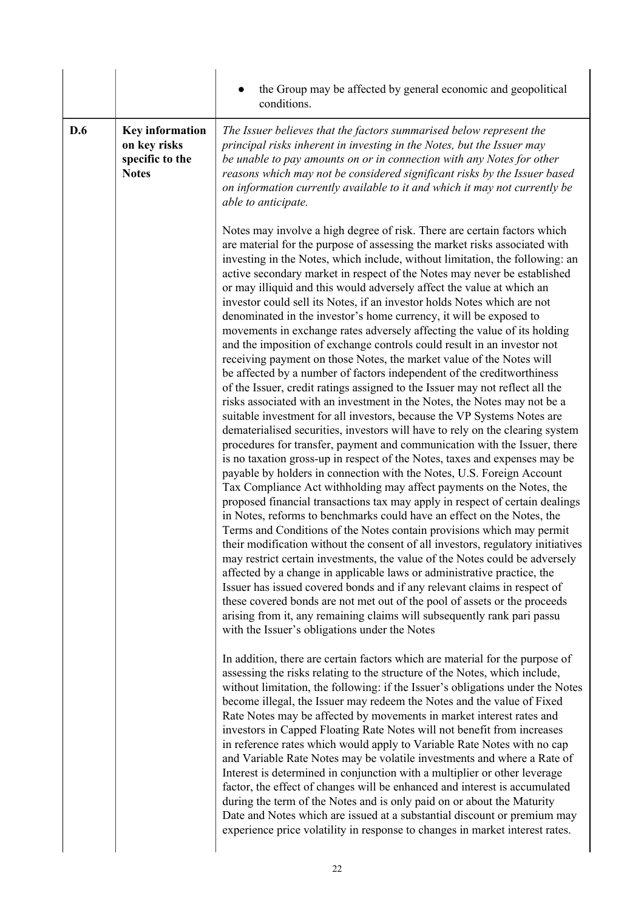|     |                                                                           | the Group may be affected by general economic and geopolitical<br>conditions.                                                                                                                                                                                                                                                                                                                                                                                                                                                                                                                                                                                                                                                                                                                                                                                                                                                                                                                                                                                                                                                                                                                                                                                                                                                                                                                                                                                                                                                                                                                                                                                                                                                                                                                                                                                                                                                                                                                                                                                                                                                                                                                                                                                  |
|-----|---------------------------------------------------------------------------|----------------------------------------------------------------------------------------------------------------------------------------------------------------------------------------------------------------------------------------------------------------------------------------------------------------------------------------------------------------------------------------------------------------------------------------------------------------------------------------------------------------------------------------------------------------------------------------------------------------------------------------------------------------------------------------------------------------------------------------------------------------------------------------------------------------------------------------------------------------------------------------------------------------------------------------------------------------------------------------------------------------------------------------------------------------------------------------------------------------------------------------------------------------------------------------------------------------------------------------------------------------------------------------------------------------------------------------------------------------------------------------------------------------------------------------------------------------------------------------------------------------------------------------------------------------------------------------------------------------------------------------------------------------------------------------------------------------------------------------------------------------------------------------------------------------------------------------------------------------------------------------------------------------------------------------------------------------------------------------------------------------------------------------------------------------------------------------------------------------------------------------------------------------------------------------------------------------------------------------------------------------|
| D.6 | <b>Key information</b><br>on key risks<br>specific to the<br><b>Notes</b> | The Issuer believes that the factors summarised below represent the<br>principal risks inherent in investing in the Notes, but the Issuer may<br>be unable to pay amounts on or in connection with any Notes for other<br>reasons which may not be considered significant risks by the Issuer based<br>on information currently available to it and which it may not currently be<br>able to anticipate.                                                                                                                                                                                                                                                                                                                                                                                                                                                                                                                                                                                                                                                                                                                                                                                                                                                                                                                                                                                                                                                                                                                                                                                                                                                                                                                                                                                                                                                                                                                                                                                                                                                                                                                                                                                                                                                       |
|     |                                                                           | Notes may involve a high degree of risk. There are certain factors which<br>are material for the purpose of assessing the market risks associated with<br>investing in the Notes, which include, without limitation, the following: an<br>active secondary market in respect of the Notes may never be established<br>or may illiquid and this would adversely affect the value at which an<br>investor could sell its Notes, if an investor holds Notes which are not<br>denominated in the investor's home currency, it will be exposed to<br>movements in exchange rates adversely affecting the value of its holding<br>and the imposition of exchange controls could result in an investor not<br>receiving payment on those Notes, the market value of the Notes will<br>be affected by a number of factors independent of the creditworthiness<br>of the Issuer, credit ratings assigned to the Issuer may not reflect all the<br>risks associated with an investment in the Notes, the Notes may not be a<br>suitable investment for all investors, because the VP Systems Notes are<br>dematerialised securities, investors will have to rely on the clearing system<br>procedures for transfer, payment and communication with the Issuer, there<br>is no taxation gross-up in respect of the Notes, taxes and expenses may be<br>payable by holders in connection with the Notes, U.S. Foreign Account<br>Tax Compliance Act withholding may affect payments on the Notes, the<br>proposed financial transactions tax may apply in respect of certain dealings<br>in Notes, reforms to benchmarks could have an effect on the Notes, the<br>Terms and Conditions of the Notes contain provisions which may permit<br>their modification without the consent of all investors, regulatory initiatives<br>may restrict certain investments, the value of the Notes could be adversely<br>affected by a change in applicable laws or administrative practice, the<br>Issuer has issued covered bonds and if any relevant claims in respect of<br>these covered bonds are not met out of the pool of assets or the proceeds<br>arising from it, any remaining claims will subsequently rank pari passu<br>with the Issuer's obligations under the Notes |
|     |                                                                           | In addition, there are certain factors which are material for the purpose of<br>assessing the risks relating to the structure of the Notes, which include,<br>without limitation, the following: if the Issuer's obligations under the Notes<br>become illegal, the Issuer may redeem the Notes and the value of Fixed<br>Rate Notes may be affected by movements in market interest rates and<br>investors in Capped Floating Rate Notes will not benefit from increases<br>in reference rates which would apply to Variable Rate Notes with no cap<br>and Variable Rate Notes may be volatile investments and where a Rate of<br>Interest is determined in conjunction with a multiplier or other leverage<br>factor, the effect of changes will be enhanced and interest is accumulated<br>during the term of the Notes and is only paid on or about the Maturity<br>Date and Notes which are issued at a substantial discount or premium may<br>experience price volatility in response to changes in market interest rates.                                                                                                                                                                                                                                                                                                                                                                                                                                                                                                                                                                                                                                                                                                                                                                                                                                                                                                                                                                                                                                                                                                                                                                                                                               |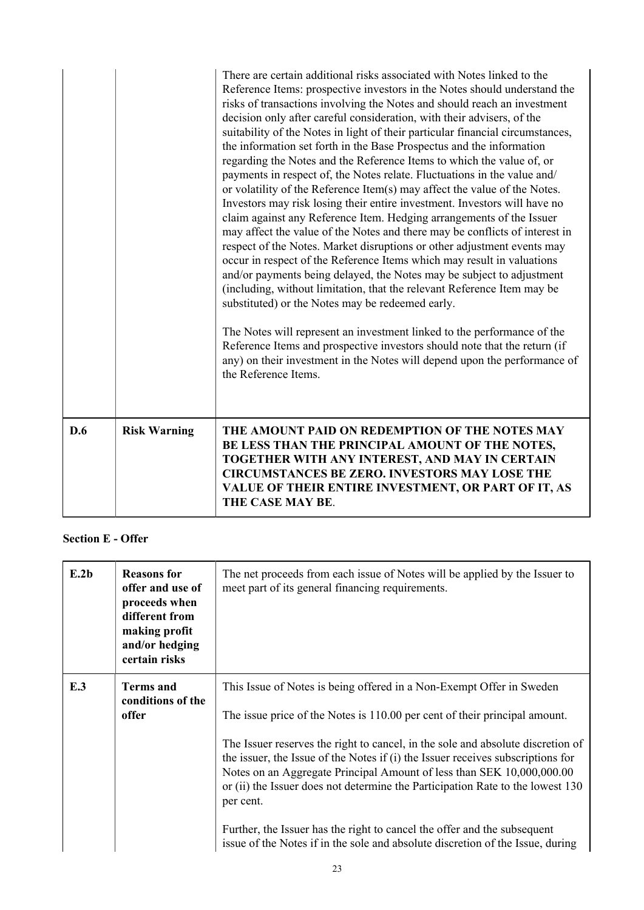|     |                     | There are certain additional risks associated with Notes linked to the<br>Reference Items: prospective investors in the Notes should understand the<br>risks of transactions involving the Notes and should reach an investment<br>decision only after careful consideration, with their advisers, of the<br>suitability of the Notes in light of their particular financial circumstances,<br>the information set forth in the Base Prospectus and the information<br>regarding the Notes and the Reference Items to which the value of, or<br>payments in respect of, the Notes relate. Fluctuations in the value and/<br>or volatility of the Reference Item(s) may affect the value of the Notes.<br>Investors may risk losing their entire investment. Investors will have no<br>claim against any Reference Item. Hedging arrangements of the Issuer<br>may affect the value of the Notes and there may be conflicts of interest in<br>respect of the Notes. Market disruptions or other adjustment events may<br>occur in respect of the Reference Items which may result in valuations<br>and/or payments being delayed, the Notes may be subject to adjustment<br>(including, without limitation, that the relevant Reference Item may be<br>substituted) or the Notes may be redeemed early.<br>The Notes will represent an investment linked to the performance of the<br>Reference Items and prospective investors should note that the return (if<br>any) on their investment in the Notes will depend upon the performance of<br>the Reference Items. |
|-----|---------------------|---------------------------------------------------------------------------------------------------------------------------------------------------------------------------------------------------------------------------------------------------------------------------------------------------------------------------------------------------------------------------------------------------------------------------------------------------------------------------------------------------------------------------------------------------------------------------------------------------------------------------------------------------------------------------------------------------------------------------------------------------------------------------------------------------------------------------------------------------------------------------------------------------------------------------------------------------------------------------------------------------------------------------------------------------------------------------------------------------------------------------------------------------------------------------------------------------------------------------------------------------------------------------------------------------------------------------------------------------------------------------------------------------------------------------------------------------------------------------------------------------------------------------------------------------------------------|
| D.6 | <b>Risk Warning</b> | THE AMOUNT PAID ON REDEMPTION OF THE NOTES MAY<br>BE LESS THAN THE PRINCIPAL AMOUNT OF THE NOTES,<br>TOGETHER WITH ANY INTEREST, AND MAY IN CERTAIN<br><b>CIRCUMSTANCES BE ZERO. INVESTORS MAY LOSE THE</b><br>VALUE OF THEIR ENTIRE INVESTMENT, OR PART OF IT, AS<br>THE CASE MAY BE.                                                                                                                                                                                                                                                                                                                                                                                                                                                                                                                                                                                                                                                                                                                                                                                                                                                                                                                                                                                                                                                                                                                                                                                                                                                                              |

# **Section E - Offer**

| E.2b | <b>Reasons for</b><br>offer and use of<br>proceeds when<br>different from<br>making profit<br>and/or hedging<br>certain risks | The net proceeds from each issue of Notes will be applied by the Issuer to<br>meet part of its general financing requirements.                                                                                                                                                                                                                                                                                                                                                                                                                                                                                                                                 |
|------|-------------------------------------------------------------------------------------------------------------------------------|----------------------------------------------------------------------------------------------------------------------------------------------------------------------------------------------------------------------------------------------------------------------------------------------------------------------------------------------------------------------------------------------------------------------------------------------------------------------------------------------------------------------------------------------------------------------------------------------------------------------------------------------------------------|
| E.3  | <b>Terms and</b><br>conditions of the<br>offer                                                                                | This Issue of Notes is being offered in a Non-Exempt Offer in Sweden<br>The issue price of the Notes is 110.00 per cent of their principal amount.<br>The Issuer reserves the right to cancel, in the sole and absolute discretion of<br>the issuer, the Issue of the Notes if (i) the Issuer receives subscriptions for<br>Notes on an Aggregate Principal Amount of less than SEK 10,000,000.00<br>or (ii) the Issuer does not determine the Participation Rate to the lowest 130<br>per cent.<br>Further, the Issuer has the right to cancel the offer and the subsequent<br>issue of the Notes if in the sole and absolute discretion of the Issue, during |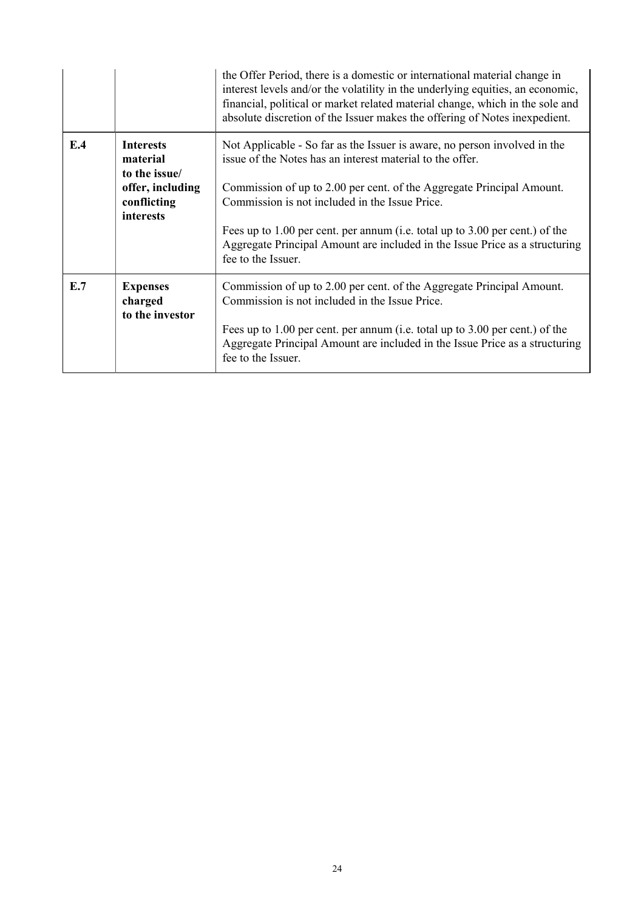|     |                                                                                               | the Offer Period, there is a domestic or international material change in<br>interest levels and/or the volatility in the underlying equities, an economic,<br>financial, political or market related material change, which in the sole and<br>absolute discretion of the Issuer makes the offering of Notes inexpedient.                                                                                                                             |
|-----|-----------------------------------------------------------------------------------------------|--------------------------------------------------------------------------------------------------------------------------------------------------------------------------------------------------------------------------------------------------------------------------------------------------------------------------------------------------------------------------------------------------------------------------------------------------------|
| E.4 | <b>Interests</b><br>material<br>to the issue/<br>offer, including<br>conflicting<br>interests | Not Applicable - So far as the Issuer is aware, no person involved in the<br>issue of the Notes has an interest material to the offer.<br>Commission of up to 2.00 per cent. of the Aggregate Principal Amount.<br>Commission is not included in the Issue Price.<br>Fees up to 1.00 per cent. per annum (i.e. total up to 3.00 per cent.) of the<br>Aggregate Principal Amount are included in the Issue Price as a structuring<br>fee to the Issuer. |
| E.7 | <b>Expenses</b><br>charged<br>to the investor                                                 | Commission of up to 2.00 per cent. of the Aggregate Principal Amount.<br>Commission is not included in the Issue Price.<br>Fees up to 1.00 per cent. per annum (i.e. total up to 3.00 per cent.) of the<br>Aggregate Principal Amount are included in the Issue Price as a structuring<br>fee to the Issuer.                                                                                                                                           |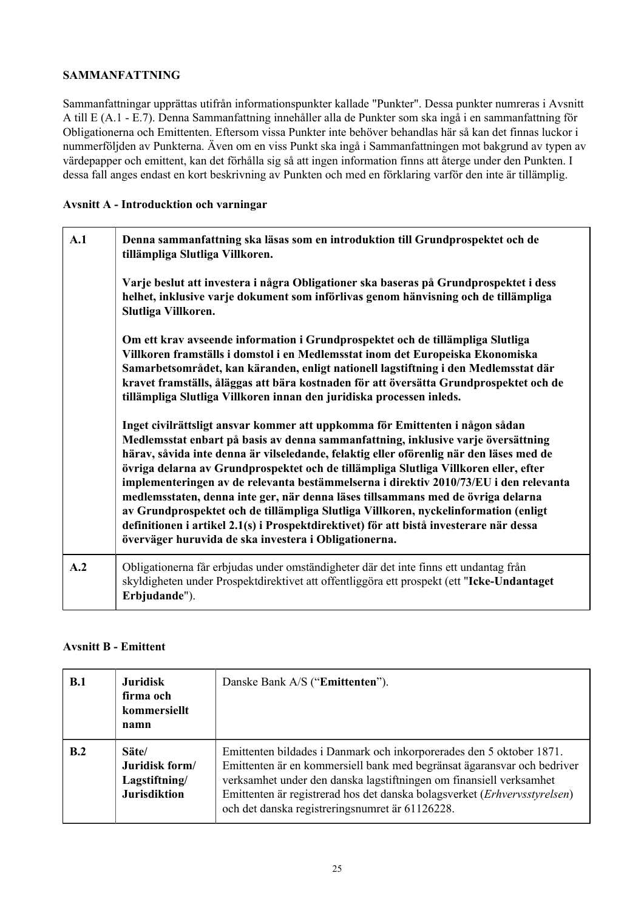# **SAMMANFATTNING**

Sammanfattningar upprättas utifrån informationspunkter kallade "Punkter". Dessa punkter numreras i Avsnitt A till E (A.1 - E.7). Denna Sammanfattning innehåller alla de Punkter som ska ingå i en sammanfattning för Obligationerna och Emittenten. Eftersom vissa Punkter inte behöver behandlas här så kan det finnas luckor i nummerföljden av Punkterna. Även om en viss Punkt ska ingå i Sammanfattningen mot bakgrund av typen av värdepapper och emittent, kan det förhålla sig så att ingen information finns att återge under den Punkten. I dessa fall anges endast en kort beskrivning av Punkten och med en förklaring varför den inte är tillämplig.

# **Avsnitt A - Introducktion och varningar**

| A.1 | Denna sammanfattning ska läsas som en introduktion till Grundprospektet och de<br>tillämpliga Slutliga Villkoren.<br>Varje beslut att investera i några Obligationer ska baseras på Grundprospektet i dess<br>helhet, inklusive varje dokument som införlivas genom hänvisning och de tillämpliga<br>Slutliga Villkoren.                                                                                                                                                                                                                                                                                                                                                                                                                                                     |
|-----|------------------------------------------------------------------------------------------------------------------------------------------------------------------------------------------------------------------------------------------------------------------------------------------------------------------------------------------------------------------------------------------------------------------------------------------------------------------------------------------------------------------------------------------------------------------------------------------------------------------------------------------------------------------------------------------------------------------------------------------------------------------------------|
|     | Om ett krav avseende information i Grundprospektet och de tillämpliga Slutliga<br>Villkoren framställs i domstol i en Medlemsstat inom det Europeiska Ekonomiska<br>Samarbetsområdet, kan käranden, enligt nationell lagstiftning i den Medlemsstat där<br>kravet framställs, åläggas att bära kostnaden för att översätta Grundprospektet och de<br>tillämpliga Slutliga Villkoren innan den juridiska processen inleds.                                                                                                                                                                                                                                                                                                                                                    |
|     | Inget civilrättsligt ansvar kommer att uppkomma för Emittenten i någon sådan<br>Medlemsstat enbart på basis av denna sammanfattning, inklusive varje översättning<br>härav, såvida inte denna är vilseledande, felaktig eller oförenlig när den läses med de<br>övriga delarna av Grundprospektet och de tillämpliga Slutliga Villkoren eller, efter<br>implementeringen av de relevanta bestämmelserna i direktiv 2010/73/EU i den relevanta<br>medlemsstaten, denna inte ger, när denna läses tillsammans med de övriga delarna<br>av Grundprospektet och de tillämpliga Slutliga Villkoren, nyckelinformation (enligt<br>definitionen i artikel 2.1(s) i Prospektdirektivet) för att bistå investerare när dessa<br>överväger huruvida de ska investera i Obligationerna. |
| A.2 | Obligationerna får erbjudas under omständigheter där det inte finns ett undantag från<br>skyldigheten under Prospektdirektivet att offentliggöra ett prospekt (ett "Icke-Undantaget<br>Erbjudande").                                                                                                                                                                                                                                                                                                                                                                                                                                                                                                                                                                         |

# **Avsnitt B - Emittent**

| B.1 | <b>Juridisk</b><br>firma och<br>kommersiellt<br>namn            | Danske Bank A/S ("Emittenten").                                                                                                                                                                                                                                                                                                                        |
|-----|-----------------------------------------------------------------|--------------------------------------------------------------------------------------------------------------------------------------------------------------------------------------------------------------------------------------------------------------------------------------------------------------------------------------------------------|
| B.2 | Säte/<br>Juridisk form/<br>Lagstiftning/<br><b>Jurisdiktion</b> | Emittenten bildades i Danmark och inkorporerades den 5 oktober 1871.<br>Emittenten är en kommersiell bank med begränsat ägaransvar och bedriver<br>verksamhet under den danska lagstiftningen om finansiell verksamhet<br>Emittenten är registrerad hos det danska bolagsverket (Erhvervsstyrelsen)<br>och det danska registreringsnumret är 61126228. |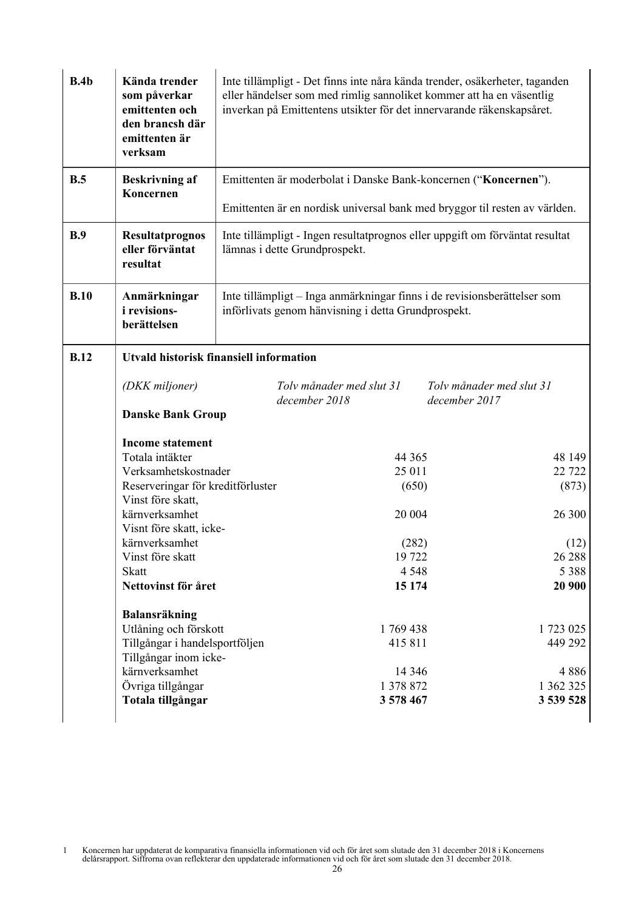| B.4b        | Kända trender<br>som påverkar<br>emittenten och<br>den brancsh där<br>emittenten är<br>verksam | Inte tillämpligt - Det finns inte nåra kända trender, osäkerheter, taganden<br>eller händelser som med rimlig sannoliket kommer att ha en väsentlig<br>inverkan på Emittentens utsikter för det innervarande räkenskapsåret. |                                                                 |                                                                              |
|-------------|------------------------------------------------------------------------------------------------|------------------------------------------------------------------------------------------------------------------------------------------------------------------------------------------------------------------------------|-----------------------------------------------------------------|------------------------------------------------------------------------------|
| B.5         | <b>Beskrivning af</b>                                                                          |                                                                                                                                                                                                                              | Emittenten är moderbolat i Danske Bank-koncernen ("Koncernen"). |                                                                              |
|             | Koncernen                                                                                      |                                                                                                                                                                                                                              |                                                                 | Emittenten är en nordisk universal bank med bryggor til resten av världen.   |
| B.9         | Resultatprognos<br>eller förväntat<br>resultat                                                 |                                                                                                                                                                                                                              | lämnas i dette Grundprospekt.                                   | Inte tillämpligt - Ingen resultatprognos eller uppgift om förväntat resultat |
| B.10        | Anmärkningar<br><i>i</i> revisions-<br>berättelsen                                             |                                                                                                                                                                                                                              | införlivats genom hänvisning i detta Grundprospekt.             | Inte tillämpligt - Inga anmärkningar finns i de revisionsberättelser som     |
| <b>B.12</b> |                                                                                                | <b>Utvald historisk finansiell information</b>                                                                                                                                                                               |                                                                 |                                                                              |
|             | (DKK miljoner)                                                                                 |                                                                                                                                                                                                                              | Tolv månader med slut 31                                        | Toly månader med slut 31                                                     |
|             | <b>Danske Bank Group</b>                                                                       |                                                                                                                                                                                                                              | december 2018                                                   | december 2017                                                                |
|             | <b>Income statement</b><br>Totala intäkter                                                     |                                                                                                                                                                                                                              | 44 3 65                                                         | 48 149                                                                       |
|             | Verksamhetskostnader                                                                           |                                                                                                                                                                                                                              | 25 011                                                          | 22 7 22                                                                      |
|             | Reserveringar för kreditförluster                                                              |                                                                                                                                                                                                                              | (650)                                                           | (873)                                                                        |
|             | Vinst före skatt,                                                                              |                                                                                                                                                                                                                              |                                                                 |                                                                              |
|             | kärnverksamhet                                                                                 |                                                                                                                                                                                                                              | 20 004                                                          | 26 300                                                                       |
|             | Visnt före skatt, icke-                                                                        |                                                                                                                                                                                                                              |                                                                 |                                                                              |
|             | kärnverksamhet                                                                                 |                                                                                                                                                                                                                              | (282)                                                           | (12)                                                                         |
|             | Vinst före skatt                                                                               |                                                                                                                                                                                                                              | 19722                                                           | 26 288                                                                       |
|             | <b>Skatt</b>                                                                                   |                                                                                                                                                                                                                              | 4 5 4 8                                                         | 5 3 8 8                                                                      |
|             | Nettovinst för året                                                                            |                                                                                                                                                                                                                              | 15 174                                                          | 20 900                                                                       |
|             | Balansräkning                                                                                  |                                                                                                                                                                                                                              |                                                                 |                                                                              |
|             | Utlåning och förskott                                                                          |                                                                                                                                                                                                                              | 1769438                                                         | 1 723 025                                                                    |
|             | Tillgångar i handelsportföljen                                                                 |                                                                                                                                                                                                                              | 415 811                                                         | 449 292                                                                      |
|             | Tillgångar inom icke-                                                                          |                                                                                                                                                                                                                              |                                                                 |                                                                              |
|             | kärnverksamhet                                                                                 |                                                                                                                                                                                                                              | 14 3 4 6                                                        | 4886                                                                         |
|             | Övriga tillgångar                                                                              |                                                                                                                                                                                                                              | 1 378 872                                                       | 1 362 325                                                                    |
|             | Totala tillgångar                                                                              |                                                                                                                                                                                                                              | 3 578 467                                                       | 3 539 528                                                                    |
|             |                                                                                                |                                                                                                                                                                                                                              |                                                                 |                                                                              |

1 Koncernen har uppdaterat de komparativa finansiella informationen vid och för året som slutade den 31 december 2018 i Koncernens delårsrapport. Siffrorna ovan reflekterar den uppdaterade informationen vid och för året som slutade den 31 december 2018.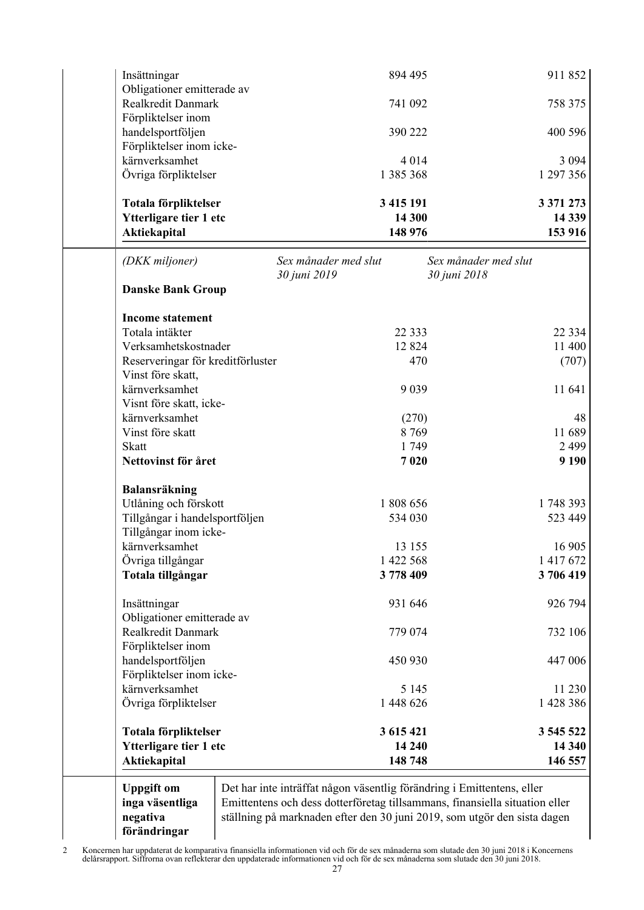| Insättningar                                                          | 894 495                                                                                                                                                                                                                           |                                      | 911852                          |
|-----------------------------------------------------------------------|-----------------------------------------------------------------------------------------------------------------------------------------------------------------------------------------------------------------------------------|--------------------------------------|---------------------------------|
| Obligationer emitterade av<br>Realkredit Danmark                      | 741 092                                                                                                                                                                                                                           |                                      | 758 375                         |
| Förpliktelser inom<br>handelsportföljen                               | 390 222                                                                                                                                                                                                                           |                                      | 400 596                         |
| Förpliktelser inom icke-<br>kärnverksamhet                            | 4 0 1 4                                                                                                                                                                                                                           |                                      | 3 0 9 4                         |
| Övriga förpliktelser                                                  | 1 385 368                                                                                                                                                                                                                         |                                      | 1 297 356                       |
| Totala förpliktelser<br>Ytterligare tier 1 etc<br><b>Aktiekapital</b> | 3 415 191<br>14 300<br>148 976                                                                                                                                                                                                    |                                      | 3 371 273<br>14 3 39<br>153 916 |
| (DKK miljoner)                                                        | Sex månader med slut<br>30 juni 2019                                                                                                                                                                                              | Sex månader med slut<br>30 juni 2018 |                                 |
| <b>Danske Bank Group</b>                                              |                                                                                                                                                                                                                                   |                                      |                                 |
| <b>Income statement</b>                                               |                                                                                                                                                                                                                                   |                                      |                                 |
| Totala intäkter                                                       | 22 3 3 3                                                                                                                                                                                                                          |                                      | 22 3 3 4                        |
| Verksamhetskostnader                                                  | 12 8 24                                                                                                                                                                                                                           |                                      | 11 400                          |
| Reserveringar för kreditförluster                                     | 470                                                                                                                                                                                                                               |                                      | (707)                           |
| Vinst före skatt,<br>kärnverksamhet                                   | 9 0 3 9                                                                                                                                                                                                                           |                                      | 11 641                          |
| Visnt före skatt, icke-                                               |                                                                                                                                                                                                                                   |                                      |                                 |
| kärnverksamhet                                                        | (270)                                                                                                                                                                                                                             |                                      | 48                              |
| Vinst före skatt                                                      | 8769                                                                                                                                                                                                                              |                                      | 11 689                          |
| <b>Skatt</b>                                                          | 1749                                                                                                                                                                                                                              |                                      | 2499                            |
| Nettovinst för året                                                   | 7020                                                                                                                                                                                                                              |                                      | 9 1 9 0                         |
| Balansräkning                                                         |                                                                                                                                                                                                                                   |                                      |                                 |
| Utlåning och förskott                                                 | 1 808 656                                                                                                                                                                                                                         |                                      | 1748 393                        |
| Tillgångar i handelsportföljen                                        | 534 030                                                                                                                                                                                                                           |                                      | 523 449                         |
| Tillgångar inom icke-                                                 |                                                                                                                                                                                                                                   |                                      |                                 |
| kärnverksamhet                                                        | 13 15 5                                                                                                                                                                                                                           |                                      | 16 905                          |
| Övriga tillgångar                                                     | 1 422 568                                                                                                                                                                                                                         |                                      | 1 4 1 7 6 7 2                   |
| Totala tillgångar                                                     | 3778409                                                                                                                                                                                                                           |                                      | 3706419                         |
| Insättningar<br>Obligationer emitterade av                            | 931 646                                                                                                                                                                                                                           |                                      | 926 794                         |
| Realkredit Danmark                                                    | 779 074                                                                                                                                                                                                                           |                                      | 732 106                         |
| Förpliktelser inom                                                    |                                                                                                                                                                                                                                   |                                      |                                 |
| handelsportföljen<br>Förpliktelser inom icke-                         | 450 930                                                                                                                                                                                                                           |                                      | 447 006                         |
| kärnverksamhet                                                        | 5 1 4 5                                                                                                                                                                                                                           |                                      | 11 230                          |
| Övriga förpliktelser                                                  | 1 448 626                                                                                                                                                                                                                         |                                      | 1 428 386                       |
| Totala förpliktelser                                                  | 3 615 421                                                                                                                                                                                                                         |                                      | 3 545 522                       |
| Ytterligare tier 1 etc                                                | 14 240                                                                                                                                                                                                                            |                                      | 14 340                          |
| Aktiekapital                                                          | 148 748                                                                                                                                                                                                                           |                                      | 146 557                         |
| <b>Uppgift om</b><br>inga väsentliga<br>negativa<br>förändringar      | Det har inte inträffat någon väsentlig förändring i Emittentens, eller<br>Emittentens och dess dotterföretag tillsammans, finansiella situation eller<br>ställning på marknaden efter den 30 juni 2019, som utgör den sista dagen |                                      |                                 |

2 Koncernen har uppdaterat de komparativa finansiella informationen vid och för de sex månaderna som slutade den 30 juni 2018 i Koncernens delårsrapport. Siffrorna ovan reflekterar den uppdaterade informationen vid och för de sex månaderna som slutade den 30 juni 2018.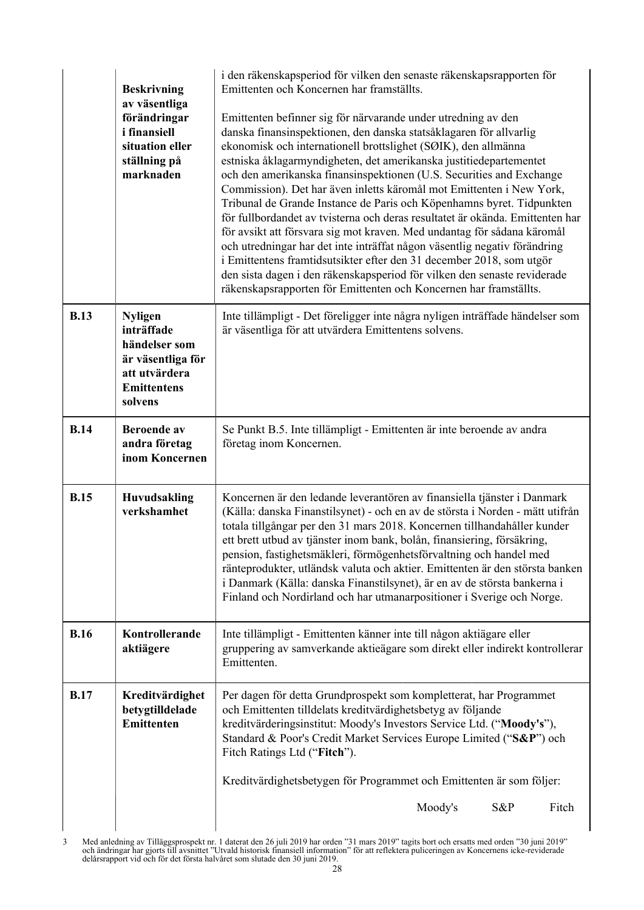|             | <b>Beskrivning</b><br>av väsentliga<br>förändringar<br><i>i</i> finansiell<br>situation eller<br>ställning på<br>marknaden | i den räkenskapsperiod för vilken den senaste räkenskapsrapporten för<br>Emittenten och Koncernen har framställts.<br>Emittenten befinner sig för närvarande under utredning av den<br>danska finansinspektionen, den danska statsåklagaren för allvarlig<br>ekonomisk och internationell brottslighet (SØIK), den allmänna<br>estniska åklagarmyndigheten, det amerikanska justitiedepartementet<br>och den amerikanska finansinspektionen (U.S. Securities and Exchange<br>Commission). Det har även inletts käromål mot Emittenten i New York,<br>Tribunal de Grande Instance de Paris och Köpenhamns byret. Tidpunkten<br>för fullbordandet av tvisterna och deras resultatet är okända. Emittenten har<br>för avsikt att försvara sig mot kraven. Med undantag för sådana käromål<br>och utredningar har det inte inträffat någon väsentlig negativ förändring<br>i Emittentens framtidsutsikter efter den 31 december 2018, som utgör<br>den sista dagen i den räkenskapsperiod för vilken den senaste reviderade<br>räkenskapsrapporten för Emittenten och Koncernen har framställts. |
|-------------|----------------------------------------------------------------------------------------------------------------------------|----------------------------------------------------------------------------------------------------------------------------------------------------------------------------------------------------------------------------------------------------------------------------------------------------------------------------------------------------------------------------------------------------------------------------------------------------------------------------------------------------------------------------------------------------------------------------------------------------------------------------------------------------------------------------------------------------------------------------------------------------------------------------------------------------------------------------------------------------------------------------------------------------------------------------------------------------------------------------------------------------------------------------------------------------------------------------------------------|
| <b>B.13</b> | <b>Nyligen</b><br>inträffade<br>händelser som<br>är väsentliga för<br>att utvärdera<br><b>Emittentens</b><br>solvens       | Inte tillämpligt - Det föreligger inte några nyligen inträffade händelser som<br>är väsentliga för att utvärdera Emittentens solvens.                                                                                                                                                                                                                                                                                                                                                                                                                                                                                                                                                                                                                                                                                                                                                                                                                                                                                                                                                        |
| <b>B.14</b> | <b>Beroende</b> av<br>andra företag<br>inom Koncernen                                                                      | Se Punkt B.5. Inte tillämpligt - Emittenten är inte beroende av andra<br>företag inom Koncernen.                                                                                                                                                                                                                                                                                                                                                                                                                                                                                                                                                                                                                                                                                                                                                                                                                                                                                                                                                                                             |
| <b>B.15</b> | Huvudsakling<br>verkshamhet                                                                                                | Koncernen är den ledande leverantören av finansiella tjänster i Danmark<br>(Källa: danska Finanstilsynet) - och en av de största i Norden - mätt utifrån<br>totala tillgångar per den 31 mars 2018. Koncernen tillhandahåller kunder<br>ett brett utbud av tjänster inom bank, bolån, finansiering, försäkring,<br>pension, fastighetsmäkleri, förmögenhetsförvaltning och handel med<br>ränteprodukter, utländsk valuta och aktier. Emittenten är den största banken<br>i Danmark (Källa: danska Finanstilsynet), är en av de största bankerna i<br>Finland och Nordirland och har utmanarpositioner i Sverige och Norge.                                                                                                                                                                                                                                                                                                                                                                                                                                                                   |
| <b>B.16</b> | Kontrollerande<br>aktiägere                                                                                                | Inte tillämpligt - Emittenten känner inte till någon aktiägare eller<br>gruppering av samverkande aktieägare som direkt eller indirekt kontrollerar<br>Emittenten.                                                                                                                                                                                                                                                                                                                                                                                                                                                                                                                                                                                                                                                                                                                                                                                                                                                                                                                           |
| <b>B.17</b> | Kreditvärdighet<br>betygtilldelade<br>Emittenten                                                                           | Per dagen för detta Grundprospekt som kompletterat, har Programmet<br>och Emittenten tilldelats kreditvärdighetsbetyg av följande<br>kreditvärderingsinstitut: Moody's Investors Service Ltd. ("Moody's"),<br>Standard & Poor's Credit Market Services Europe Limited ("S&P") och<br>Fitch Ratings Ltd ("Fitch").                                                                                                                                                                                                                                                                                                                                                                                                                                                                                                                                                                                                                                                                                                                                                                            |
|             |                                                                                                                            | Kreditvärdighetsbetygen för Programmet och Emittenten är som följer:                                                                                                                                                                                                                                                                                                                                                                                                                                                                                                                                                                                                                                                                                                                                                                                                                                                                                                                                                                                                                         |
|             |                                                                                                                            | Moody's<br>S&P<br>Fitch                                                                                                                                                                                                                                                                                                                                                                                                                                                                                                                                                                                                                                                                                                                                                                                                                                                                                                                                                                                                                                                                      |

<sup>3</sup> Med anledning av Tilläggsprospekt nr. 1 daterat den 26 juli 2019 har orden "31 mars 2019" tagits bort och ersatts med orden "30 juni 2019" och ändringar har gjorts till avsnittet "Utvald historisk finansiell information" för att reflektera puliceringen av Koncernens icke-reviderade delårsrapport vid och för det första halvåret som slutade den 30 juni 2019.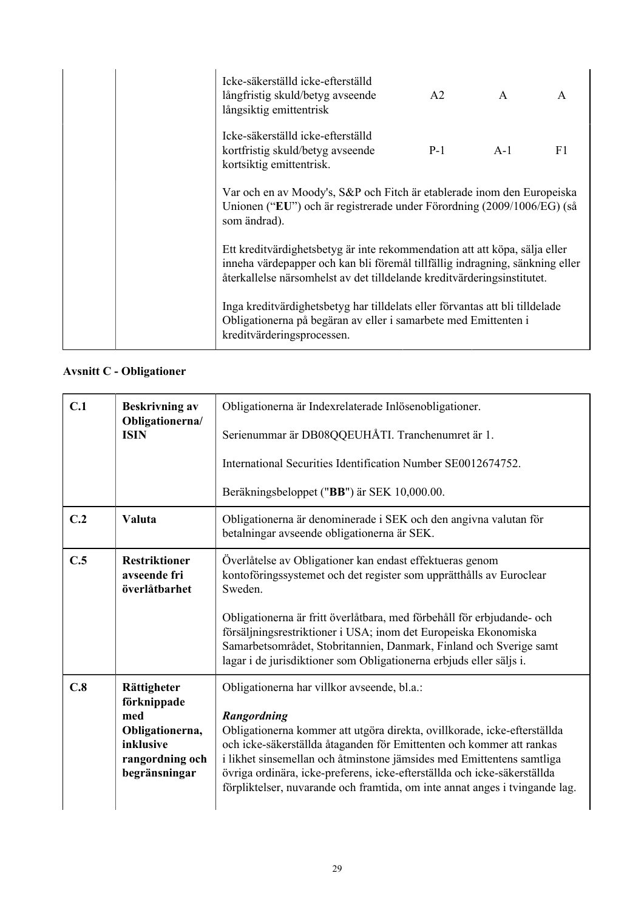|  | Icke-säkerställd icke-efterställd<br>långfristig skuld/betyg avseende<br>långsiktig emittentrisk                                                                                                                                      | A2    | $\mathbf{A}$ | $\mathsf{A}$ |
|--|---------------------------------------------------------------------------------------------------------------------------------------------------------------------------------------------------------------------------------------|-------|--------------|--------------|
|  | Icke-säkerställd icke-efterställd<br>kortfristig skuld/betyg avseende<br>kortsiktig emittentrisk.                                                                                                                                     | $P-1$ | $A-1$        | F1           |
|  | Var och en av Moody's, S&P och Fitch är etablerade inom den Europeiska<br>Unionen ("EU") och är registrerade under Förordning (2009/1006/EG) (så<br>som ändrad).                                                                      |       |              |              |
|  | Ett kreditvärdighetsbetyg är inte rekommendation att att köpa, sälja eller<br>inneha värdepapper och kan bli föremål tillfällig indragning, sänkning eller<br>återkallelse närsomhelst av det tilldelande kreditvärderingsinstitutet. |       |              |              |
|  | Inga kreditvärdighetsbetyg har tilldelats eller förvantas att bli tilldelade<br>Obligationerna på begäran av eller i samarbete med Emittenten i<br>kreditvärderingsprocessen.                                                         |       |              |              |

# **Avsnitt C - Obligationer**

| <b>Beskrivning av</b>                                                                                 | Obligationerna är Indexrelaterade Inlösenobligationer.                                                                                                                                                                                                                                                                                                                                                                                             |  |
|-------------------------------------------------------------------------------------------------------|----------------------------------------------------------------------------------------------------------------------------------------------------------------------------------------------------------------------------------------------------------------------------------------------------------------------------------------------------------------------------------------------------------------------------------------------------|--|
| <b>ISIN</b>                                                                                           | Serienummar är DB08QQEUHÅTI. Tranchenumret är 1.                                                                                                                                                                                                                                                                                                                                                                                                   |  |
|                                                                                                       | International Securities Identification Number SE0012674752.                                                                                                                                                                                                                                                                                                                                                                                       |  |
|                                                                                                       | Beräkningsbeloppet ("BB") är SEK 10,000.00.                                                                                                                                                                                                                                                                                                                                                                                                        |  |
| Valuta                                                                                                | Obligationerna är denominerade i SEK och den angivna valutan för<br>betalningar avseende obligationerna är SEK.                                                                                                                                                                                                                                                                                                                                    |  |
| <b>Restriktioner</b><br>avseende fri<br>överlåtbarhet                                                 | Överlåtelse av Obligationer kan endast effektueras genom<br>kontoföringssystemet och det register som upprätthålls av Euroclear<br>Sweden.                                                                                                                                                                                                                                                                                                         |  |
|                                                                                                       | Obligationerna är fritt överlåtbara, med förbehåll för erbjudande- och<br>försäljningsrestriktioner i USA; inom det Europeiska Ekonomiska<br>Samarbetsområdet, Stobritannien, Danmark, Finland och Sverige samt<br>lagar i de jurisdiktioner som Obligationerna erbjuds eller säljs i.                                                                                                                                                             |  |
| Rättigheter<br>förknippade<br>med<br>Obligationerna,<br>inklusive<br>rangordning och<br>begränsningar | Obligationerna har villkor avseende, bl.a.:<br>Rangordning<br>Obligationerna kommer att utgöra direkta, ovillkorade, icke-efterställda<br>och icke-säkerställda åtaganden för Emittenten och kommer att rankas<br>i likhet sinsemellan och åtminstone jämsides med Emittentens samtliga<br>övriga ordinära, icke-preferens, icke-efterställda och icke-säkerställda<br>förpliktelser, nuvarande och framtida, om inte annat anges i tvingande lag. |  |
|                                                                                                       | Obligationerna/                                                                                                                                                                                                                                                                                                                                                                                                                                    |  |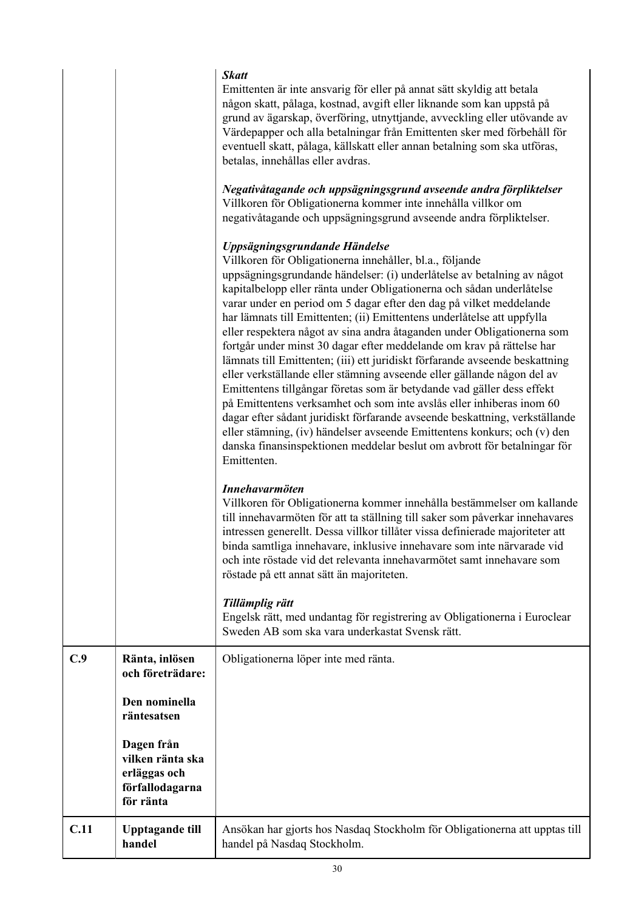|      |                                                                                | <b>Skatt</b><br>Emittenten är inte ansvarig för eller på annat sätt skyldig att betala<br>någon skatt, pålaga, kostnad, avgift eller liknande som kan uppstå på<br>grund av ägarskap, överföring, utnyttjande, avveckling eller utövande av<br>Värdepapper och alla betalningar från Emittenten sker med förbehåll för<br>eventuell skatt, pålaga, källskatt eller annan betalning som ska utföras,<br>betalas, innehållas eller avdras.<br>Negativåtagande och uppsägningsgrund avseende andra förpliktelser<br>Villkoren för Obligationerna kommer inte innehålla villkor om<br>negativåtagande och uppsägningsgrund avseende andra förpliktelser.<br>Uppsägningsgrundande Händelse<br>Villkoren för Obligationerna innehåller, bl.a., följande<br>uppsägningsgrundande händelser: (i) underlåtelse av betalning av något<br>kapitalbelopp eller ränta under Obligationerna och sådan underlåtelse<br>varar under en period om 5 dagar efter den dag på vilket meddelande<br>har lämnats till Emittenten; (ii) Emittentens underlåtelse att uppfylla<br>eller respektera något av sina andra åtaganden under Obligationerna som<br>fortgår under minst 30 dagar efter meddelande om krav på rättelse har<br>lämnats till Emittenten; (iii) ett juridiskt förfarande avseende beskattning<br>eller verkställande eller stämning avseende eller gällande någon del av<br>Emittentens tillgångar företas som är betydande vad gäller dess effekt<br>på Emittentens verksamhet och som inte avslås eller inhiberas inom 60<br>dagar efter sådant juridiskt förfarande avseende beskattning, verkställande<br>eller stämning, (iv) händelser avseende Emittentens konkurs; och (v) den<br>danska finansinspektionen meddelar beslut om avbrott för betalningar för<br>Emittenten.<br>Innehavarmöten<br>Villkoren för Obligationerna kommer innehålla bestämmelser om kallande<br>till innehavarmöten för att ta ställning till saker som påverkar innehavares |
|------|--------------------------------------------------------------------------------|------------------------------------------------------------------------------------------------------------------------------------------------------------------------------------------------------------------------------------------------------------------------------------------------------------------------------------------------------------------------------------------------------------------------------------------------------------------------------------------------------------------------------------------------------------------------------------------------------------------------------------------------------------------------------------------------------------------------------------------------------------------------------------------------------------------------------------------------------------------------------------------------------------------------------------------------------------------------------------------------------------------------------------------------------------------------------------------------------------------------------------------------------------------------------------------------------------------------------------------------------------------------------------------------------------------------------------------------------------------------------------------------------------------------------------------------------------------------------------------------------------------------------------------------------------------------------------------------------------------------------------------------------------------------------------------------------------------------------------------------------------------------------------------------------------------------------------------------------------------------------------------------------------------------------------------------------------|
|      |                                                                                | intressen generellt. Dessa villkor tillåter vissa definierade majoriteter att<br>binda samtliga innehavare, inklusive innehavare som inte närvarade vid<br>och inte röstade vid det relevanta innehavarmötet samt innehavare som<br>röstade på ett annat sätt än majoriteten.                                                                                                                                                                                                                                                                                                                                                                                                                                                                                                                                                                                                                                                                                                                                                                                                                                                                                                                                                                                                                                                                                                                                                                                                                                                                                                                                                                                                                                                                                                                                                                                                                                                                              |
|      |                                                                                | Tillämplig rätt<br>Engelsk rätt, med undantag för registrering av Obligationerna i Euroclear<br>Sweden AB som ska vara underkastat Svensk rätt.                                                                                                                                                                                                                                                                                                                                                                                                                                                                                                                                                                                                                                                                                                                                                                                                                                                                                                                                                                                                                                                                                                                                                                                                                                                                                                                                                                                                                                                                                                                                                                                                                                                                                                                                                                                                            |
| C.9  | Ränta, inlösen<br>och företrädare:                                             | Obligationerna löper inte med ränta.                                                                                                                                                                                                                                                                                                                                                                                                                                                                                                                                                                                                                                                                                                                                                                                                                                                                                                                                                                                                                                                                                                                                                                                                                                                                                                                                                                                                                                                                                                                                                                                                                                                                                                                                                                                                                                                                                                                       |
|      | Den nominella<br>räntesatsen                                                   |                                                                                                                                                                                                                                                                                                                                                                                                                                                                                                                                                                                                                                                                                                                                                                                                                                                                                                                                                                                                                                                                                                                                                                                                                                                                                                                                                                                                                                                                                                                                                                                                                                                                                                                                                                                                                                                                                                                                                            |
|      | Dagen från<br>vilken ränta ska<br>erläggas och<br>förfallodagarna<br>för ränta |                                                                                                                                                                                                                                                                                                                                                                                                                                                                                                                                                                                                                                                                                                                                                                                                                                                                                                                                                                                                                                                                                                                                                                                                                                                                                                                                                                                                                                                                                                                                                                                                                                                                                                                                                                                                                                                                                                                                                            |
| C.11 | <b>Upptagande till</b><br>handel                                               | Ansökan har gjorts hos Nasdaq Stockholm för Obligationerna att upptas till<br>handel på Nasdaq Stockholm.                                                                                                                                                                                                                                                                                                                                                                                                                                                                                                                                                                                                                                                                                                                                                                                                                                                                                                                                                                                                                                                                                                                                                                                                                                                                                                                                                                                                                                                                                                                                                                                                                                                                                                                                                                                                                                                  |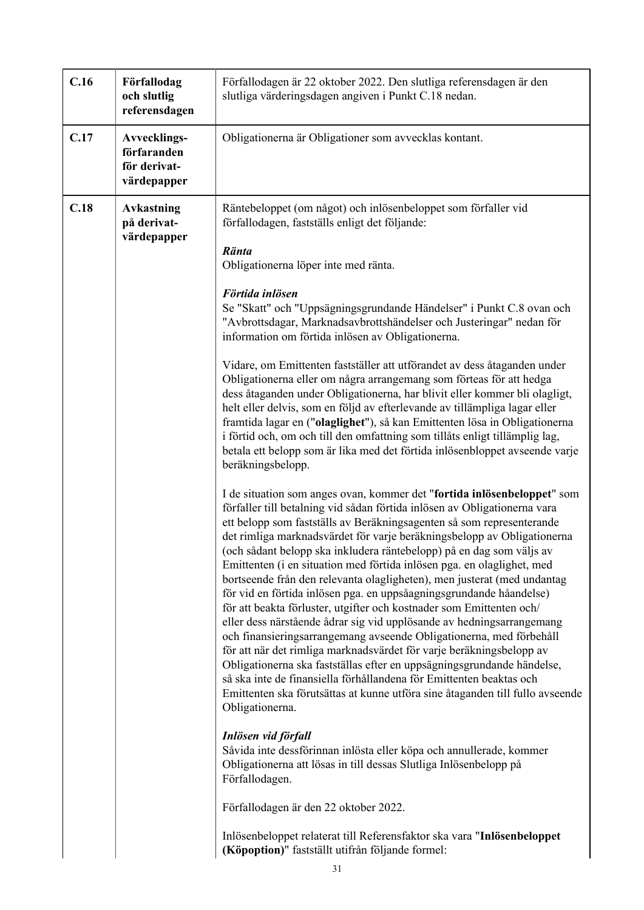| C.16 | Förfallodag<br>och slutlig<br>referensdagen                       | Förfallodagen är 22 oktober 2022. Den slutliga referensdagen är den<br>slutliga värderingsdagen angiven i Punkt C.18 nedan.                                                                                                                                                                                                                                                                                                                                                                                                                                                                                                                                                                                                                                                                                                                                                                                                                                                                                                                                                                                                                                                                                                                                                                                                                                                                                                                                                                                                                                                                                                                                                                                                                                                                                                                                                                                                                                                                                                                                                                                                                                                                                                                                                                                                                                                                                                                                                                                 |  |
|------|-------------------------------------------------------------------|-------------------------------------------------------------------------------------------------------------------------------------------------------------------------------------------------------------------------------------------------------------------------------------------------------------------------------------------------------------------------------------------------------------------------------------------------------------------------------------------------------------------------------------------------------------------------------------------------------------------------------------------------------------------------------------------------------------------------------------------------------------------------------------------------------------------------------------------------------------------------------------------------------------------------------------------------------------------------------------------------------------------------------------------------------------------------------------------------------------------------------------------------------------------------------------------------------------------------------------------------------------------------------------------------------------------------------------------------------------------------------------------------------------------------------------------------------------------------------------------------------------------------------------------------------------------------------------------------------------------------------------------------------------------------------------------------------------------------------------------------------------------------------------------------------------------------------------------------------------------------------------------------------------------------------------------------------------------------------------------------------------------------------------------------------------------------------------------------------------------------------------------------------------------------------------------------------------------------------------------------------------------------------------------------------------------------------------------------------------------------------------------------------------------------------------------------------------------------------------------------------------|--|
| C.17 | <b>Avvecklings-</b><br>förfaranden<br>för derivat-<br>värdepapper | Obligationerna är Obligationer som avvecklas kontant.                                                                                                                                                                                                                                                                                                                                                                                                                                                                                                                                                                                                                                                                                                                                                                                                                                                                                                                                                                                                                                                                                                                                                                                                                                                                                                                                                                                                                                                                                                                                                                                                                                                                                                                                                                                                                                                                                                                                                                                                                                                                                                                                                                                                                                                                                                                                                                                                                                                       |  |
| C.18 | <b>Avkastning</b><br>på derivat-<br>värdepapper                   | Räntebeloppet (om något) och inlösenbeloppet som förfaller vid<br>förfallodagen, fastställs enligt det följande:<br>Ränta<br>Obligationerna löper inte med ränta.<br>Förtida inlösen<br>Se "Skatt" och "Uppsägningsgrundande Händelser" i Punkt C.8 ovan och<br>"Avbrottsdagar, Marknadsavbrottshändelser och Justeringar" nedan för<br>information om förtida inlösen av Obligationerna.<br>Vidare, om Emittenten fastställer att utförandet av dess åtaganden under<br>Obligationerna eller om några arrangemang som förteas för att hedga<br>dess åtaganden under Obligationerna, har blivit eller kommer bli olagligt,<br>helt eller delvis, som en följd av efterlevande av tillämpliga lagar eller<br>framtida lagar en ("olaglighet"), så kan Emittenten lösa in Obligationerna<br>i förtid och, om och till den omfattning som tillåts enligt tillämplig lag,<br>betala ett belopp som är lika med det förtida inlösenbloppet avseende varje<br>beräkningsbelopp.<br>I de situation som anges ovan, kommer det "fortida inlösenbeloppet" som<br>förfaller till betalning vid sådan förtida inlösen av Obligationerna vara<br>ett belopp som fastställs av Beräkningsagenten så som representerande<br>det rimliga marknadsvärdet för varje beräkningsbelopp av Obligationerna<br>(och sådant belopp ska inkludera räntebelopp) på en dag som väljs av<br>Emittenten (i en situation med förtida inlösen pga. en olaglighet, med<br>bortseende från den relevanta olagligheten), men justerat (med undantag<br>för vid en förtida inlösen pga. en uppsåagningsgrundande håandelse)<br>för att beakta förluster, utgifter och kostnader som Emittenten och/<br>eller dess närstående ådrar sig vid upplösande av hedningsarrangemang<br>och finansieringsarrangemang avseende Obligationerna, med förbehåll<br>för att när det rimliga marknadsvärdet för varje beräkningsbelopp av<br>Obligationerna ska fastställas efter en uppsägningsgrundande händelse,<br>så ska inte de finansiella förhållandena för Emittenten beaktas och<br>Emittenten ska förutsättas at kunne utföra sine åtaganden till fullo avseende<br>Obligationerna.<br>Inlösen vid förfall<br>Såvida inte dessförinnan inlösta eller köpa och annullerade, kommer<br>Obligationerna att lösas in till dessas Slutliga Inlösenbelopp på<br>Förfallodagen.<br>Förfallodagen är den 22 oktober 2022.<br>Inlösenbeloppet relaterat till Referensfaktor ska vara "Inlösenbeloppet<br>(Köpoption)" fastställt utifrån följande formel: |  |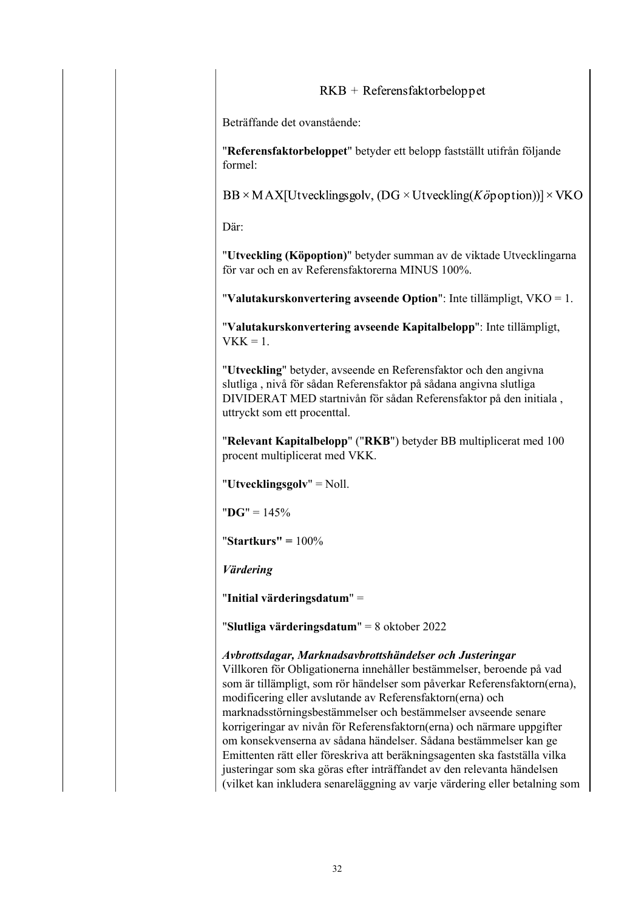# $RKB + References faktorbeloppet$

Beträffande det ovanstående:

"**Referensfaktorbeloppet**" betyder ett belopp fastställt utifrån följande formel:

 $BB \times MAX[U$ tvecklingsgolv, (DG  $\times U$ tveckling(Köpoption))]  $\times$ VKO

Där:

"**Utveckling (Köpoption)**" betyder summan av de viktade Utvecklingarna för var och en av Referensfaktorerna MINUS 100%.

"**Valutakurskonvertering avseende Option**": Inte tillämpligt, VKO = 1.

"**Valutakurskonvertering avseende Kapitalbelopp**": Inte tillämpligt,  $VKK = 1$ .

"**Utveckling**" betyder, avseende en Referensfaktor och den angivna slutliga , nivå för sådan Referensfaktor på sådana angivna slutliga DIVIDERAT MED startnivån för sådan Referensfaktor på den initiala , uttryckt som ett procenttal.

"**Relevant Kapitalbelopp**" ("**RKB**") betyder BB multiplicerat med 100 procent multiplicerat med VKK.

"**Utvecklingsgolv**" = Noll.

"**DG**" = 145%

"**Startkurs" =** 100%

*Värdering*

"**Initial värderingsdatum**" =

"**Slutliga värderingsdatum**" = 8 oktober 2022

### *Avbrottsdagar, Marknadsavbrottshändelser och Justeringar*

Villkoren för Obligationerna innehåller bestämmelser, beroende på vad som är tillämpligt, som rör händelser som påverkar Referensfaktorn(erna), modificering eller avslutande av Referensfaktorn(erna) och marknadsstörningsbestämmelser och bestämmelser avseende senare korrigeringar av nivån för Referensfaktorn(erna) och närmare uppgifter om konsekvenserna av sådana händelser. Sådana bestämmelser kan ge Emittenten rätt eller föreskriva att beräkningsagenten ska fastställa vilka justeringar som ska göras efter inträffandet av den relevanta händelsen (vilket kan inkludera senareläggning av varje värdering eller betalning som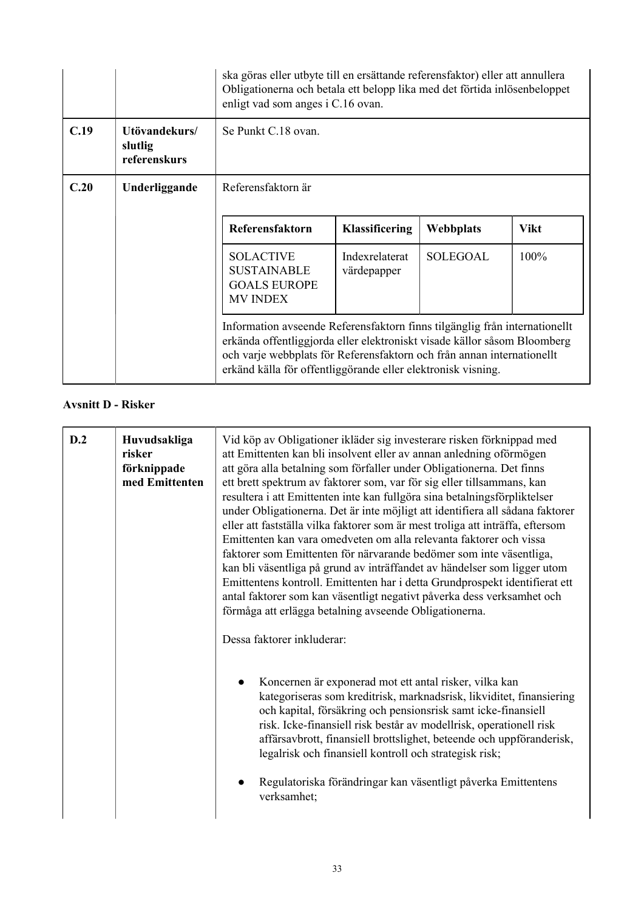|      |                                          | ska göras eller utbyte till en ersättande referensfaktor) eller att annullera<br>Obligationerna och betala ett belopp lika med det förtida inlösenbeloppet<br>enligt vad som anges i C.16 ovan.                                                                                                  |                               |                 |             |
|------|------------------------------------------|--------------------------------------------------------------------------------------------------------------------------------------------------------------------------------------------------------------------------------------------------------------------------------------------------|-------------------------------|-----------------|-------------|
| C.19 | Utövandekurs/<br>slutlig<br>referenskurs | Se Punkt C.18 ovan.                                                                                                                                                                                                                                                                              |                               |                 |             |
| C.20 | Underliggande                            | Referensfaktorn är                                                                                                                                                                                                                                                                               |                               |                 |             |
|      |                                          | Referensfaktorn                                                                                                                                                                                                                                                                                  | <b>Klassificering</b>         | Webbplats       | <b>Vikt</b> |
|      |                                          | <b>SOLACTIVE</b><br><b>SUSTAINABLE</b><br><b>GOALS EUROPE</b><br><b>MV INDEX</b>                                                                                                                                                                                                                 | Indexrelaterat<br>värdepapper | <b>SOLEGOAL</b> | $100\%$     |
|      |                                          | Information avseende Referensfaktorn finns tilgänglig från internationellt<br>erkända offentliggjorda eller elektroniskt visade källor såsom Bloomberg<br>och varje webbplats för Referensfaktorn och från annan internationellt<br>erkänd källa för offentliggörande eller elektronisk visning. |                               |                 |             |

# **Avsnitt D - Risker**

| D.2 |                        |                                                                                                                                                                                                      |
|-----|------------------------|------------------------------------------------------------------------------------------------------------------------------------------------------------------------------------------------------|
|     | Huvudsakliga<br>risker | Vid köp av Obligationer ikläder sig investerare risken förknippad med<br>att Emittenten kan bli insolvent eller av annan anledning oförmögen                                                         |
|     | förknippade            | att göra alla betalning som förfaller under Obligationerna. Det finns                                                                                                                                |
|     | med Emittenten         | ett brett spektrum av faktorer som, var för sig eller tillsammans, kan                                                                                                                               |
|     |                        | resultera i att Emittenten inte kan fullgöra sina betalningsförpliktelser                                                                                                                            |
|     |                        | under Obligationerna. Det är inte möjligt att identifiera all sådana faktorer                                                                                                                        |
|     |                        | eller att fastställa vilka faktorer som är mest troliga att inträffa, eftersom                                                                                                                       |
|     |                        | Emittenten kan vara omedveten om alla relevanta faktorer och vissa                                                                                                                                   |
|     |                        | faktorer som Emittenten för närvarande bedömer som inte väsentliga,                                                                                                                                  |
|     |                        | kan bli väsentliga på grund av inträffandet av händelser som ligger utom                                                                                                                             |
|     |                        | Emittentens kontroll. Emittenten har i detta Grundprospekt identifierat ett                                                                                                                          |
|     |                        | antal faktorer som kan väsentligt negativt påverka dess verksamhet och                                                                                                                               |
|     |                        | förmåga att erlägga betalning avseende Obligationerna.                                                                                                                                               |
|     |                        | Dessa faktorer inkluderar:                                                                                                                                                                           |
|     |                        | Koncernen är exponerad mot ett antal risker, vilka kan<br>kategoriseras som kreditrisk, marknadsrisk, likviditet, finansiering<br>och kapital, försäkring och pensionsrisk samt icke-finansiell      |
|     |                        | risk. Icke-finansiell risk består av modellrisk, operationell risk<br>affärsavbrott, finansiell brottslighet, beteende och uppföranderisk,<br>legalrisk och finansiell kontroll och strategisk risk; |
|     |                        | Regulatoriska förändringar kan väsentligt påverka Emittentens<br>verksamhet;                                                                                                                         |
|     |                        |                                                                                                                                                                                                      |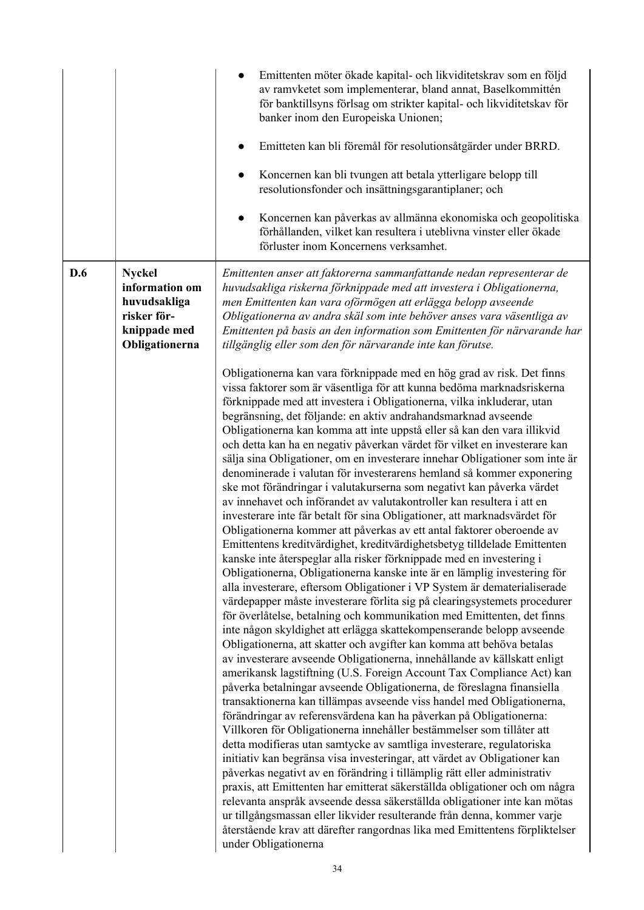|     |                                                                                                  | Emittenten möter ökade kapital- och likviditetskrav som en följd<br>av ramvketet som implementerar, bland annat, Baselkommittén<br>för banktillsyns förlsag om strikter kapital- och likviditetskav för<br>banker inom den Europeiska Unionen;<br>Emitteten kan bli föremål för resolutionsåtgärder under BRRD.<br>Koncernen kan bli tvungen att betala ytterligare belopp till<br>resolutionsfonder och insättningsgarantiplaner; och<br>Koncernen kan påverkas av allmänna ekonomiska och geopolitiska<br>$\bullet$<br>förhållanden, vilket kan resultera i uteblivna vinster eller ökade<br>förluster inom Koncernens verksamhet.                                                                                                                                                                                                                                                                                                                                                                                                                                                                                                                                                                                                                                                                                                                                                                                                                                                                                                                                                                                                                                                                                                                                                                                                                                                                                                                                                                                                                                                                                                   |
|-----|--------------------------------------------------------------------------------------------------|----------------------------------------------------------------------------------------------------------------------------------------------------------------------------------------------------------------------------------------------------------------------------------------------------------------------------------------------------------------------------------------------------------------------------------------------------------------------------------------------------------------------------------------------------------------------------------------------------------------------------------------------------------------------------------------------------------------------------------------------------------------------------------------------------------------------------------------------------------------------------------------------------------------------------------------------------------------------------------------------------------------------------------------------------------------------------------------------------------------------------------------------------------------------------------------------------------------------------------------------------------------------------------------------------------------------------------------------------------------------------------------------------------------------------------------------------------------------------------------------------------------------------------------------------------------------------------------------------------------------------------------------------------------------------------------------------------------------------------------------------------------------------------------------------------------------------------------------------------------------------------------------------------------------------------------------------------------------------------------------------------------------------------------------------------------------------------------------------------------------------------------|
| D.6 | <b>Nyckel</b><br>information om<br>huvudsakliga<br>risker för-<br>knippade med<br>Obligationerna | Emittenten anser att faktorerna sammanfattande nedan representerar de<br>huvudsakliga riskerna förknippade med att investera i Obligationerna,<br>men Emittenten kan vara oförmögen att erlägga belopp avseende<br>Obligationerna av andra skäl som inte behöver anses vara väsentliga av<br>Emittenten på basis an den information som Emittenten för närvarande har<br>tillgänglig eller som den för närvarande inte kan förutse.<br>Obligationerna kan vara förknippade med en hög grad av risk. Det finns<br>vissa faktorer som är väsentliga för att kunna bedöma marknadsriskerna<br>förknippade med att investera i Obligationerna, vilka inkluderar, utan<br>begränsning, det följande: en aktiv andrahandsmarknad avseende<br>Obligationerna kan komma att inte uppstå eller så kan den vara illikvid<br>och detta kan ha en negativ påverkan värdet för vilket en investerare kan<br>sälja sina Obligationer, om en investerare innehar Obligationer som inte är<br>denominerade i valutan för investerarens hemland så kommer exponering<br>ske mot förändringar i valutakurserna som negativt kan påverka värdet<br>av innehavet och införandet av valutakontroller kan resultera i att en<br>investerare inte får betalt för sina Obligationer, att marknadsvärdet för<br>Obligationerna kommer att påverkas av ett antal faktorer oberoende av<br>Emittentens kreditvärdighet, kreditvärdighetsbetyg tilldelade Emittenten<br>kanske inte återspeglar alla risker förknippade med en investering i<br>Obligationerna, Obligationerna kanske inte är en lämplig investering för<br>alla investerare, eftersom Obligationer i VP System är dematerialiserade<br>värdepapper måste investerare förlita sig på clearingsystemets procedurer<br>för överlåtelse, betalning och kommunikation med Emittenten, det finns<br>inte någon skyldighet att erlägga skattekompenserande belopp avseende<br>Obligationerna, att skatter och avgifter kan komma att behöva betalas<br>av investerare avseende Obligationerna, innehållande av källskatt enligt<br>amerikansk lagstiftning (U.S. Foreign Account Tax Compliance Act) kan |
|     |                                                                                                  | påverka betalningar avseende Obligationerna, de föreslagna finansiella<br>transaktionerna kan tillämpas avseende viss handel med Obligationerna,<br>förändringar av referensvärdena kan ha påverkan på Obligationerna:<br>Villkoren för Obligationerna innehåller bestämmelser som tillåter att<br>detta modifieras utan samtycke av samtliga investerare, regulatoriska<br>initiativ kan begränsa visa investeringar, att värdet av Obligationer kan<br>påverkas negativt av en förändring i tillämplig rätt eller administrativ<br>praxis, att Emittenten har emitterat säkerställda obligationer och om några<br>relevanta anspråk avseende dessa säkerställda obligationer inte kan mötas<br>ur tillgångsmassan eller likvider resulterande från denna, kommer varje<br>återstående krav att därefter rangordnas lika med Emittentens förpliktelser<br>under Obligationerna                                                                                                                                                                                                                                                                                                                                                                                                                                                                                                                                                                                                                                                                                                                                                                                                                                                                                                                                                                                                                                                                                                                                                                                                                                                        |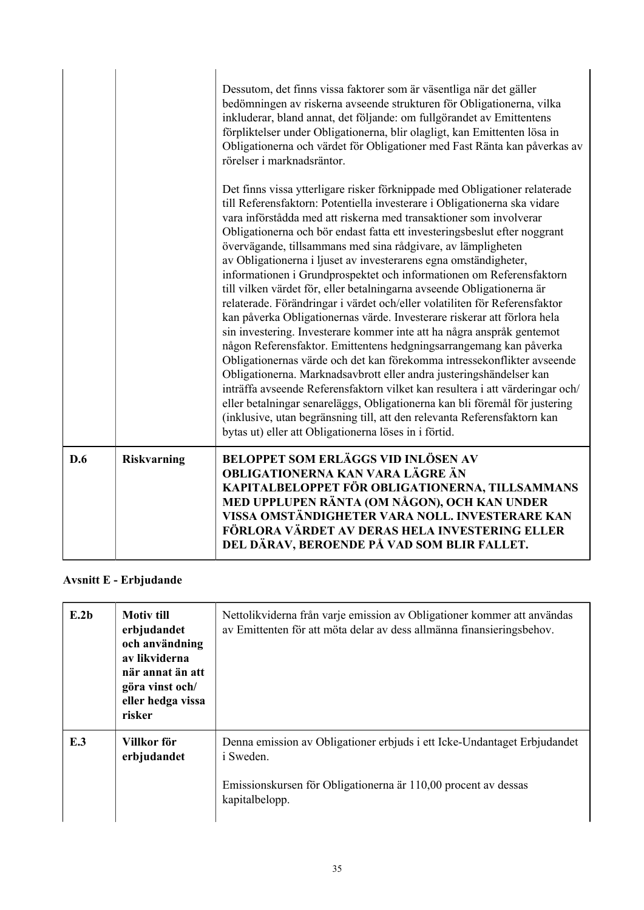|     |                    | Dessutom, det finns vissa faktorer som är väsentliga när det gäller<br>bedömningen av riskerna avseende strukturen för Obligationerna, vilka<br>inkluderar, bland annat, det följande: om fullgörandet av Emittentens<br>förpliktelser under Obligationerna, blir olagligt, kan Emittenten lösa in<br>Obligationerna och värdet för Obligationer med Fast Ränta kan påverkas av<br>rörelser i marknadsräntor.<br>Det finns vissa ytterligare risker förknippade med Obligationer relaterade<br>till Referensfaktorn: Potentiella investerare i Obligationerna ska vidare<br>vara införstådda med att riskerna med transaktioner som involverar<br>Obligationerna och bör endast fatta ett investeringsbeslut efter noggrant<br>övervägande, tillsammans med sina rådgivare, av lämpligheten<br>av Obligationerna i ljuset av investerarens egna omständigheter,<br>informationen i Grundprospektet och informationen om Referensfaktorn<br>till vilken värdet för, eller betalningarna avseende Obligationerna är<br>relaterade. Förändringar i värdet och/eller volatiliten för Referensfaktor<br>kan påverka Obligationernas värde. Investerare riskerar att förlora hela<br>sin investering. Investerare kommer inte att ha några anspråk gentemot<br>någon Referensfaktor. Emittentens hedgningsarrangemang kan påverka<br>Obligationernas värde och det kan förekomma intressekonflikter avseende<br>Obligationerna. Marknadsavbrott eller andra justeringshändelser kan<br>inträffa avseende Referensfaktorn vilket kan resultera i att värderingar och/<br>eller betalningar senareläggs, Obligationerna kan bli föremål för justering<br>(inklusive, utan begränsning till, att den relevanta Referensfaktorn kan<br>bytas ut) eller att Obligationerna löses in i förtid. |
|-----|--------------------|------------------------------------------------------------------------------------------------------------------------------------------------------------------------------------------------------------------------------------------------------------------------------------------------------------------------------------------------------------------------------------------------------------------------------------------------------------------------------------------------------------------------------------------------------------------------------------------------------------------------------------------------------------------------------------------------------------------------------------------------------------------------------------------------------------------------------------------------------------------------------------------------------------------------------------------------------------------------------------------------------------------------------------------------------------------------------------------------------------------------------------------------------------------------------------------------------------------------------------------------------------------------------------------------------------------------------------------------------------------------------------------------------------------------------------------------------------------------------------------------------------------------------------------------------------------------------------------------------------------------------------------------------------------------------------------------------------------------------------------------------------------------------------|
| D.6 | <b>Riskvarning</b> | <b>BELOPPET SOM ERLÄGGS VID INLÖSEN AV</b><br>OBLIGATIONERNA KAN VARA LÄGRE ÄN<br>KAPITALBELOPPET FÖR OBLIGATIONERNA, TILLSAMMANS<br>MED UPPLUPEN RÄNTA (OM NÅGON), OCH KAN UNDER<br>VISSA OMSTÄNDIGHETER VARA NOLL. INVESTERARE KAN<br>FÖRLORA VÄRDET AV DERAS HELA INVESTERING ELLER<br>DEL DÄRAV, BEROENDE PÅ VAD SOM BLIR FALLET.                                                                                                                                                                                                                                                                                                                                                                                                                                                                                                                                                                                                                                                                                                                                                                                                                                                                                                                                                                                                                                                                                                                                                                                                                                                                                                                                                                                                                                              |

# **Avsnitt E - Erbjudande**

| E.2b | <b>Motiv</b> till<br>erbjudandet<br>och användning<br>av likviderna<br>när annat än att<br>göra vinst och/<br>eller hedga vissa<br>risker | Nettolikviderna från varje emission av Obligationer kommer att användas<br>av Emittenten för att möta delar av dess allmänna finansieringsbehov.                                 |
|------|-------------------------------------------------------------------------------------------------------------------------------------------|----------------------------------------------------------------------------------------------------------------------------------------------------------------------------------|
| E.3  | Villkor för<br>erbjudandet                                                                                                                | Denna emission av Obligationer erbjuds i ett Icke-Undantaget Erbjudandet<br><i>i</i> Sweden.<br>Emissionskursen för Obligationerna är 110,00 procent av dessas<br>kapitalbelopp. |